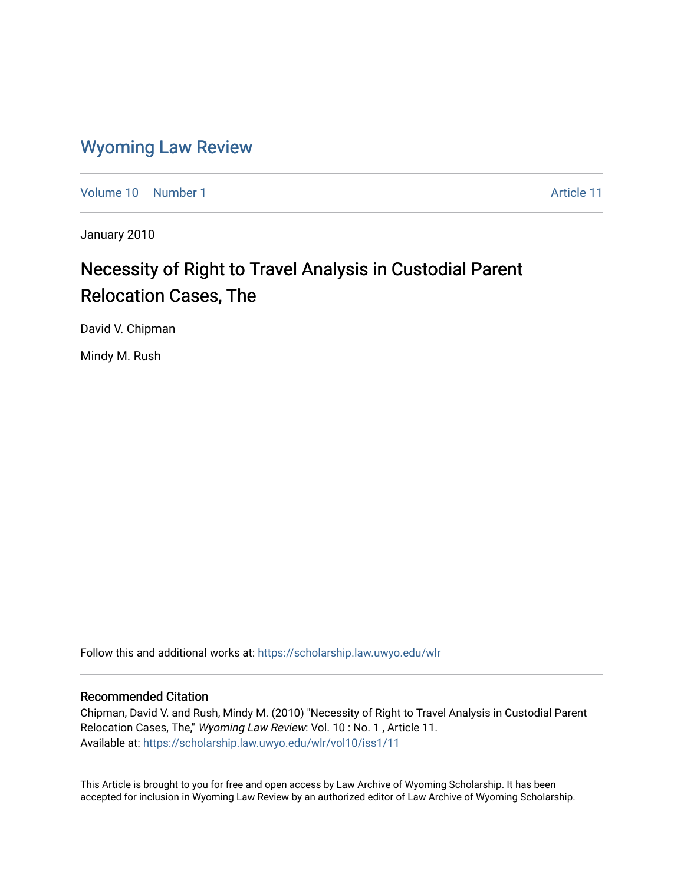### [Wyoming Law Review](https://scholarship.law.uwyo.edu/wlr)

[Volume 10](https://scholarship.law.uwyo.edu/wlr/vol10) [Number 1](https://scholarship.law.uwyo.edu/wlr/vol10/iss1) Article 11

January 2010

# Necessity of Right to Travel Analysis in Custodial Parent Relocation Cases, The

David V. Chipman

Mindy M. Rush

Follow this and additional works at: [https://scholarship.law.uwyo.edu/wlr](https://scholarship.law.uwyo.edu/wlr?utm_source=scholarship.law.uwyo.edu%2Fwlr%2Fvol10%2Fiss1%2F11&utm_medium=PDF&utm_campaign=PDFCoverPages) 

#### Recommended Citation

Chipman, David V. and Rush, Mindy M. (2010) "Necessity of Right to Travel Analysis in Custodial Parent Relocation Cases, The," Wyoming Law Review: Vol. 10: No. 1, Article 11. Available at: [https://scholarship.law.uwyo.edu/wlr/vol10/iss1/11](https://scholarship.law.uwyo.edu/wlr/vol10/iss1/11?utm_source=scholarship.law.uwyo.edu%2Fwlr%2Fvol10%2Fiss1%2F11&utm_medium=PDF&utm_campaign=PDFCoverPages)

This Article is brought to you for free and open access by Law Archive of Wyoming Scholarship. It has been accepted for inclusion in Wyoming Law Review by an authorized editor of Law Archive of Wyoming Scholarship.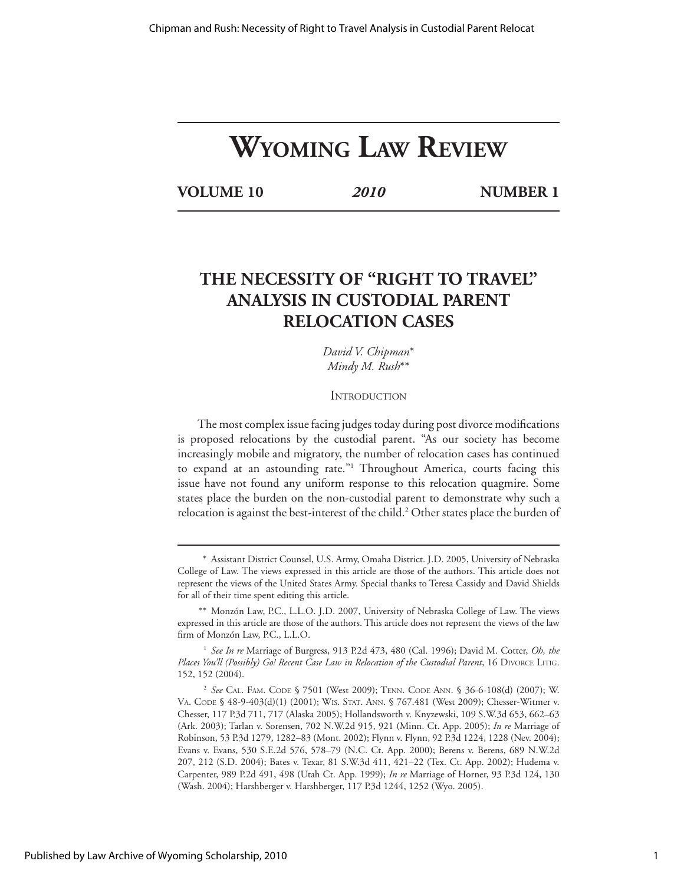# **WYOMING LAW REVIEW**

**VOLUME 10** *2010* **NUMBER 1**

## **THE NECESSITY OF "RIGHT TO TRAVEL" ANALYSIS IN CUSTODIAL PARENT RELOCATION CASES**

*David V. Chipman*\* *Mindy M. Rush*\*\*

#### **INTRODUCTION**

The most complex issue facing judges today during post divorce modifications is proposed relocations by the custodial parent. "As our society has become increasingly mobile and migratory, the number of relocation cases has continued to expand at an astounding rate."1 Throughout America, courts facing this issue have not found any uniform response to this relocation quagmire. Some states place the burden on the non-custodial parent to demonstrate why such a relocation is against the best-interest of the child.<sup>2</sup> Other states place the burden of

 <sup>\*</sup> Assistant District Counsel, U.S. Army, Omaha District. J.D. 2005, University of Nebraska College of Law. The views expressed in this article are those of the authors. This article does not represent the views of the United States Army. Special thanks to Teresa Cassidy and David Shields for all of their time spent editing this article.

 <sup>\*\*</sup> Monzón Law, P.C., L.L.O. J.D. 2007, University of Nebraska College of Law. The views expressed in this article are those of the authors. This article does not represent the views of the law firm of Monzón Law, P.C., L.L.O.

<sup>1</sup> *See In re* Marriage of Burgress, 913 P.2d 473, 480 (Cal. 1996); David M. Cotter, *Oh, the*  Places You'll (Possibly) Go! Recent Case Law in Relocation of the Custodial Parent, 16 DIVORCE LITIG. 152, 152 (2004).

<sup>2</sup> *See* CAL. FAM. CODE § 7501 (West 2009); TENN. CODE ANN. § 36-6-108(d) (2007); W. VA. CODE § 48-9-403(d)(1) (2001); WIS. STAT. ANN. § 767.481 (West 2009); Chesser-Witmer v. Chesser, 117 P.3d 711, 717 (Alaska 2005); Hollandsworth v. Knyzewski, 109 S.W.3d 653, 662–63 (Ark. 2003); Tarlan v. Sorensen, 702 N.W.2d 915, 921 (Minn. Ct. App. 2005); *In re* Marriage of Robinson, 53 P.3d 1279, 1282–83 (Mont. 2002); Flynn v. Flynn, 92 P.3d 1224, 1228 (Nev. 2004); Evans v. Evans, 530 S.E.2d 576, 578–79 (N.C. Ct. App. 2000); Berens v. Berens, 689 N.W.2d 207, 212 (S.D. 2004); Bates v. Texar, 81 S.W.3d 411, 421–22 (Tex. Ct. App. 2002); Hudema v. Carpenter, 989 P.2d 491, 498 (Utah Ct. App. 1999); *In re* Marriage of Horner, 93 P.3d 124, 130 (Wash. 2004); Harshberger v. Harshberger, 117 P.3d 1244, 1252 (Wyo. 2005).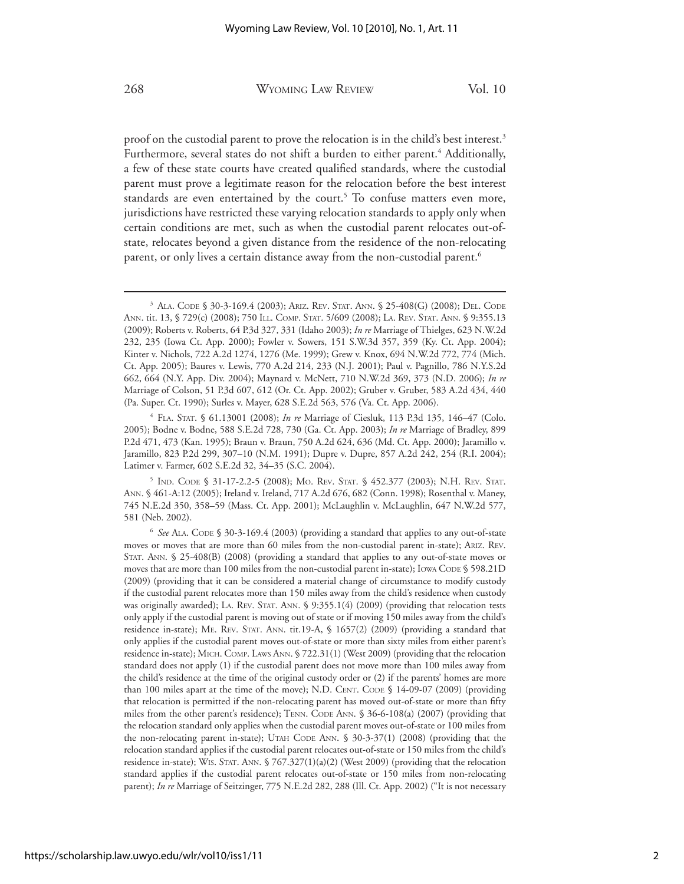proof on the custodial parent to prove the relocation is in the child's best interest.<sup>3</sup> Furthermore, several states do not shift a burden to either parent.<sup>4</sup> Additionally, a few of these state courts have created qualified standards, where the custodial parent must prove a legitimate reason for the relocation before the best interest standards are even entertained by the court.<sup>5</sup> To confuse matters even more, jurisdictions have restricted these varying relocation standards to apply only when certain conditions are met, such as when the custodial parent relocates out-ofstate, relocates beyond a given distance from the residence of the non-relocating parent, or only lives a certain distance away from the non-custodial parent.<sup>6</sup>

<sup>4</sup> FLA. STAT. § 61.13001 (2008); *In re* Marriage of Ciesluk, 113 P.3d 135, 146–47 (Colo. 2005); Bodne v. Bodne, 588 S.E.2d 728, 730 (Ga. Ct. App. 2003); *In re* Marriage of Bradley, 899 P.2d 471, 473 (Kan. 1995); Braun v. Braun, 750 A.2d 624, 636 (Md. Ct. App. 2000); Jaramillo v. Jaramillo, 823 P.2d 299, 307–10 (N.M. 1991); Dupre v. Dupre, 857 A.2d 242, 254 (R.I. 2004); Latimer v. Farmer, 602 S.E.2d 32, 34–35 (S.C. 2004).

<sup>5</sup> IND. CODE § 31-17-2.2-5 (2008); MO. REV. STAT. § 452.377 (2003); N.H. REV. STAT. ANN. § 461-A:12 (2005); Ireland v. Ireland, 717 A.2d 676, 682 (Conn. 1998); Rosenthal v. Maney, 745 N.E.2d 350, 358–59 (Mass. Ct. App. 2001); McLaughlin v. McLaughlin, 647 N.W.2d 577, 581 (Neb. 2002).

<sup>3</sup> ALA. CODE § 30-3-169.4 (2003); ARIZ. REV. STAT. ANN. § 25-408(G) (2008); DEL. CODE ANN. tit. 13, § 729(c) (2008); 750 ILL. COMP. STAT. 5/609 (2008); LA. REV. STAT. ANN. § 9:355.13 (2009); Roberts v. Roberts, 64 P.3d 327, 331 (Idaho 2003); *In re* Marriage of Thielges, 623 N.W.2d 232, 235 (Iowa Ct. App. 2000); Fowler v. Sowers, 151 S.W.3d 357, 359 (Ky. Ct. App. 2004); Kinter v. Nichols, 722 A.2d 1274, 1276 (Me. 1999); Grew v. Knox, 694 N.W.2d 772, 774 (Mich. Ct. App. 2005); Baures v. Lewis, 770 A.2d 214, 233 (N.J. 2001); Paul v. Pagnillo, 786 N.Y.S.2d 662, 664 (N.Y. App. Div. 2004); Maynard v. McNett, 710 N.W.2d 369, 373 (N.D. 2006); *In re*  Marriage of Colson, 51 P.3d 607, 612 (Or. Ct. App. 2002); Gruber v. Gruber, 583 A.2d 434, 440 (Pa. Super. Ct. 1990); Surles v. Mayer, 628 S.E.2d 563, 576 (Va. Ct. App. 2006).

<sup>6</sup> *See* ALA. CODE § 30-3-169.4 (2003) (providing a standard that applies to any out-of-state moves or moves that are more than 60 miles from the non-custodial parent in-state); ARIZ. REV. STAT. ANN. § 25-408(B) (2008) (providing a standard that applies to any out-of-state moves or moves that are more than 100 miles from the non-custodial parent in-state); IOWA CODE § 598.21D (2009) (providing that it can be considered a material change of circumstance to modify custody if the custodial parent relocates more than 150 miles away from the child's residence when custody was originally awarded); LA. REV. STAT. ANN. § 9:355.1(4) (2009) (providing that relocation tests only apply if the custodial parent is moving out of state or if moving 150 miles away from the child's residence in-state); ME. REV. STAT. ANN. tit.19-A, § 1657(2) (2009) (providing a standard that only applies if the custodial parent moves out-of-state or more than sixty miles from either parent's residence in-state); MICH. COMP. LAWS ANN. § 722.31(1) (West 2009) (providing that the relocation standard does not apply (1) if the custodial parent does not move more than 100 miles away from the child's residence at the time of the original custody order or (2) if the parents' homes are more than 100 miles apart at the time of the move); N.D. CENT. CODE § 14-09-07 (2009) (providing that relocation is permitted if the non-relocating parent has moved out-of-state or more than fifty miles from the other parent's residence); TENN. CODE ANN. § 36-6-108(a) (2007) (providing that the relocation standard only applies when the custodial parent moves out-of-state or 100 miles from the non-relocating parent in-state); UTAH CODE ANN. § 30-3-37(1) (2008) (providing that the relocation standard applies if the custodial parent relocates out-of-state or 150 miles from the child's residence in-state); WIS. STAT. ANN. § 767.327(1)(a)(2) (West 2009) (providing that the relocation standard applies if the custodial parent relocates out-of-state or 150 miles from non-relocating parent); *In re* Marriage of Seitzinger, 775 N.E.2d 282, 288 (Ill. Ct. App. 2002) ("It is not necessary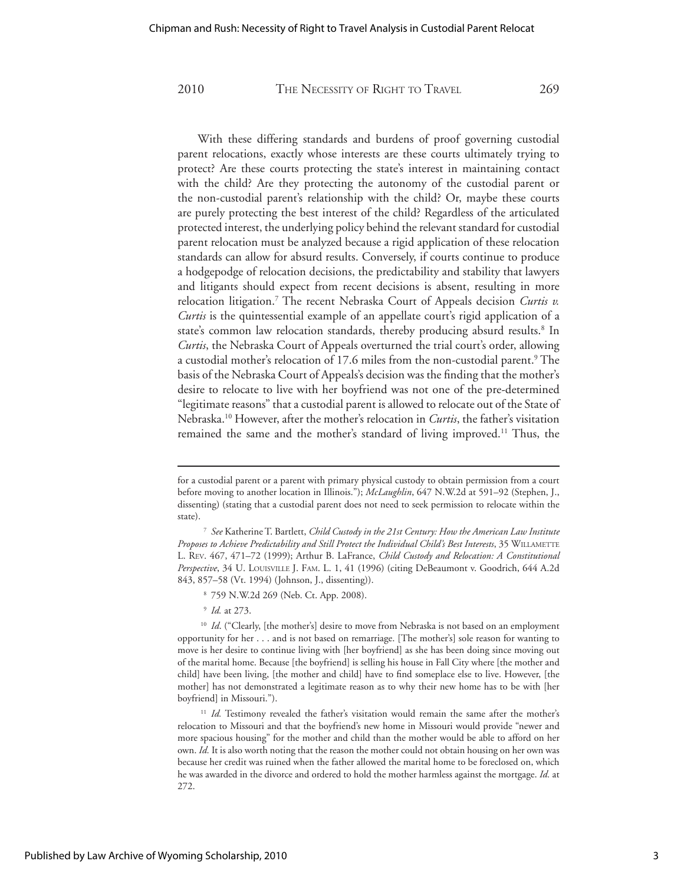With these differing standards and burdens of proof governing custodial parent relocations, exactly whose interests are these courts ultimately trying to protect? Are these courts protecting the state's interest in maintaining contact with the child? Are they protecting the autonomy of the custodial parent or the non-custodial parent's relationship with the child? Or, maybe these courts are purely protecting the best interest of the child? Regardless of the articulated protected interest, the underlying policy behind the relevant standard for custodial parent relocation must be analyzed because a rigid application of these relocation standards can allow for absurd results. Conversely, if courts continue to produce a hodgepodge of relocation decisions, the predictability and stability that lawyers and litigants should expect from recent decisions is absent, resulting in more relocation litigation.7 The recent Nebraska Court of Appeals decision *Curtis v. Curtis* is the quintessential example of an appellate court's rigid application of a state's common law relocation standards, thereby producing absurd results.<sup>8</sup> In *Curtis*, the Nebraska Court of Appeals overturned the trial court's order, allowing a custodial mother's relocation of 17.6 miles from the non-custodial parent.9 The basis of the Nebraska Court of Appeals's decision was the finding that the mother's desire to relocate to live with her boyfriend was not one of the pre-determined "legitimate reasons" that a custodial parent is allowed to relocate out of the State of Nebraska.10 However, after the mother's relocation in *Curtis*, the father's visitation remained the same and the mother's standard of living improved.<sup>11</sup> Thus, the

for a custodial parent or a parent with primary physical custody to obtain permission from a court before moving to another location in Illinois."); *McLaughlin*, 647 N.W.2d at 591–92 (Stephen, J., dissenting) (stating that a custodial parent does not need to seek permission to relocate within the state).

<sup>7</sup> *See* Katherine T. Bartlett, *Child Custody in the 21st Century: How the American Law Institute Proposes to Achieve Predictability and Still Protect the Individual Child's Best Interests*, 35 WILLAMETTE L. REV. 467, 471–72 (1999); Arthur B. LaFrance, *Child Custody and Relocation: A Constitutional Perspective*, 34 U. LOUISVILLE J. FAM. L. 1, 41 (1996) (citing DeBeaumont v. Goodrich, 644 A.2d 843, 857–58 (Vt. 1994) (Johnson, J., dissenting)).

<sup>8</sup> 759 N.W.2d 269 (Neb. Ct. App. 2008).

<sup>9</sup> *Id.* at 273.

<sup>&</sup>lt;sup>10</sup> *Id.* ("Clearly, [the mother's] desire to move from Nebraska is not based on an employment opportunity for her . . . and is not based on remarriage. [The mother's] sole reason for wanting to move is her desire to continue living with [her boyfriend] as she has been doing since moving out of the marital home. Because [the boyfriend] is selling his house in Fall City where [the mother and child] have been living, [the mother and child] have to find someplace else to live. However, [the mother] has not demonstrated a legitimate reason as to why their new home has to be with [her boyfriend] in Missouri.").

<sup>&</sup>lt;sup>11</sup> *Id.* Testimony revealed the father's visitation would remain the same after the mother's relocation to Missouri and that the boyfriend's new home in Missouri would provide "newer and more spacious housing" for the mother and child than the mother would be able to afford on her own. *Id.* It is also worth noting that the reason the mother could not obtain housing on her own was because her credit was ruined when the father allowed the marital home to be foreclosed on, which he was awarded in the divorce and ordered to hold the mother harmless against the mortgage. *Id.* at 272.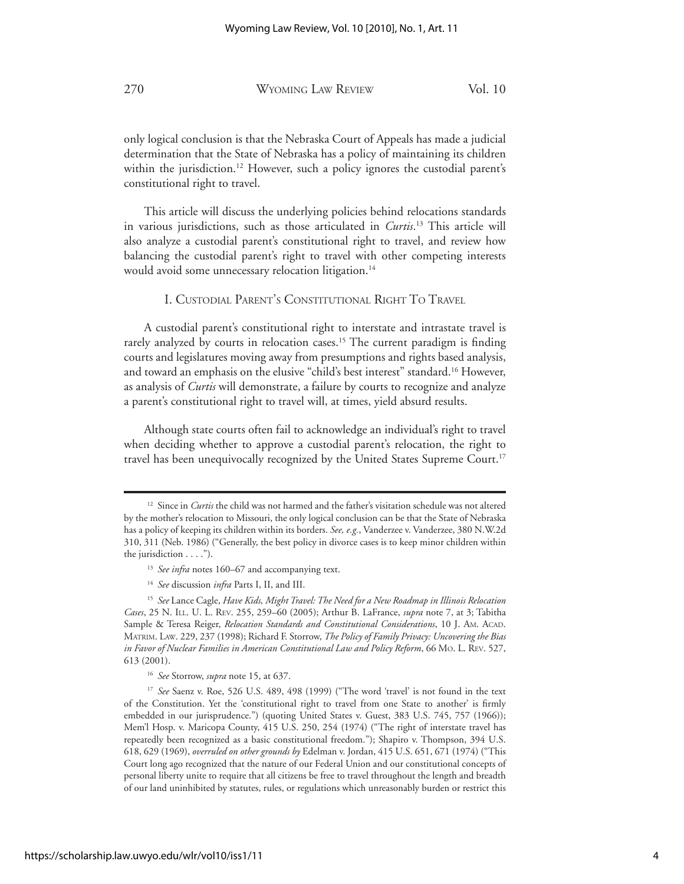only logical conclusion is that the Nebraska Court of Appeals has made a judicial determination that the State of Nebraska has a policy of maintaining its children within the jurisdiction.<sup>12</sup> However, such a policy ignores the custodial parent's constitutional right to travel.

 This article will discuss the underlying policies behind relocations standards in various jurisdictions, such as those articulated in *Curtis*. 13 This article will also analyze a custodial parent's constitutional right to travel, and review how balancing the custodial parent's right to travel with other competing interests would avoid some unnecessary relocation litigation.<sup>14</sup>

#### I. CUSTODIAL PARENT'S CONSTITUTIONAL RIGHT TO TRAVEL

 A custodial parent's constitutional right to interstate and intrastate travel is rarely analyzed by courts in relocation cases.<sup>15</sup> The current paradigm is finding courts and legislatures moving away from presumptions and rights based analysis, and toward an emphasis on the elusive "child's best interest" standard.16 However, as analysis of *Curtis* will demonstrate, a failure by courts to recognize and analyze a parent's constitutional right to travel will, at times, yield absurd results.

 Although state courts often fail to acknowledge an individual's right to travel when deciding whether to approve a custodial parent's relocation, the right to travel has been unequivocally recognized by the United States Supreme Court.<sup>17</sup>

<sup>&</sup>lt;sup>12</sup> Since in *Curtis* the child was not harmed and the father's visitation schedule was not altered by the mother's relocation to Missouri, the only logical conclusion can be that the State of Nebraska has a policy of keeping its children within its borders. *See, e.g.*, Vanderzee v. Vanderzee, 380 N.W.2d 310, 311 (Neb. 1986) ("Generally, the best policy in divorce cases is to keep minor children within the jurisdiction . . . .").

<sup>&</sup>lt;sup>13</sup> See infra notes 160–67 and accompanying text.

<sup>14</sup> *See* discussion *infra* Parts I, II, and III.

<sup>15</sup> *See* Lance Cagle, *Have Kids, Might Travel: The Need for a New Roadmap in Illinois Relocation Cases*, 25 N. ILL. U. L. REV. 255, 259–60 (2005); Arthur B. LaFrance, *supra* note 7, at 3; Tabitha Sample & Teresa Reiger, *Relocation Standards and Constitutional Considerations*, 10 J. AM. ACAD. MATRIM. LAW. 229, 237 (1998); Richard F. Storrow, *The Policy of Family Privacy: Uncovering the Bias in Favor of Nuclear Families in American Constitutional Law and Policy Reform*, 66 MO. L. REV. 527, 613 (2001).

<sup>16</sup> *See* Storrow, *supra* note 15, at 637.

<sup>17</sup> *See* Saenz v. Roe, 526 U.S. 489, 498 (1999) ("The word 'travel' is not found in the text of the Constitution. Yet the 'constitutional right to travel from one State to another' is firmly embedded in our jurisprudence.") (quoting United States v. Guest, 383 U.S. 745, 757 (1966)); Mem'l Hosp. v. Maricopa County, 415 U.S. 250, 254 (1974) ("The right of interstate travel has repeatedly been recognized as a basic constitutional freedom."); Shapiro v. Thompson, 394 U.S. 618, 629 (1969), *overruled on other grounds by* Edelman v. Jordan, 415 U.S. 651, 671 (1974) ("This Court long ago recognized that the nature of our Federal Union and our constitutional concepts of personal liberty unite to require that all citizens be free to travel throughout the length and breadth of our land uninhibited by statutes, rules, or regulations which unreasonably burden or restrict this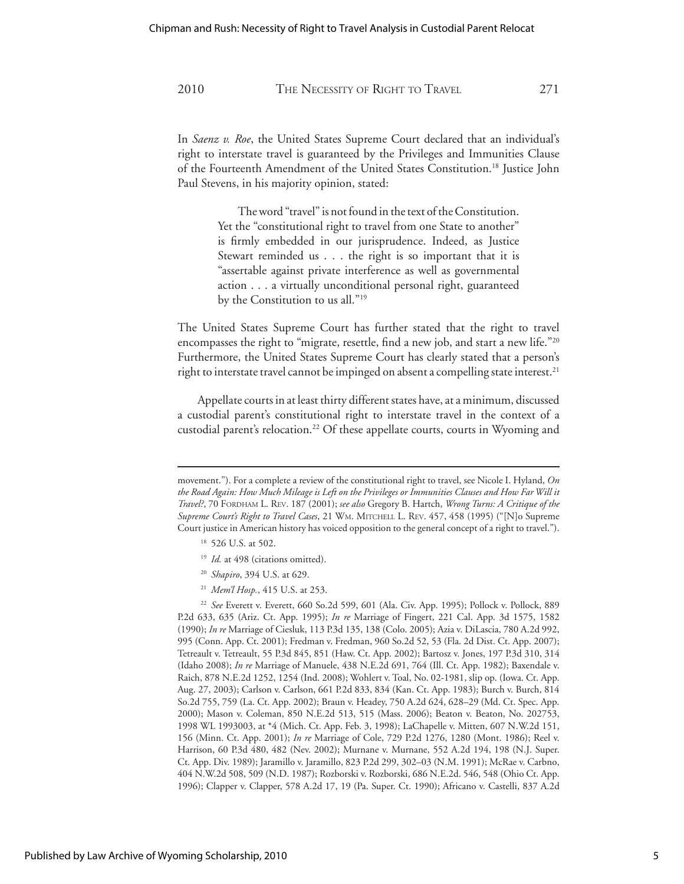In *Saenz v. Roe*, the United States Supreme Court declared that an individual's right to interstate travel is guaranteed by the Privileges and Immunities Clause of the Fourteenth Amendment of the United States Constitution.18 Justice John Paul Stevens, in his majority opinion, stated:

> The word "travel" is not found in the text of the Constitution. Yet the "constitutional right to travel from one State to another" is firmly embedded in our jurisprudence. Indeed, as Justice Stewart reminded us . . . the right is so important that it is "assertable against private interference as well as governmental action . . . a virtually unconditional personal right, guaranteed by the Constitution to us all."<sup>19</sup>

The United States Supreme Court has further stated that the right to travel encompasses the right to "migrate, resettle, find a new job, and start a new life."20 Furthermore, the United States Supreme Court has clearly stated that a person's right to interstate travel cannot be impinged on absent a compelling state interest.<sup>21</sup>

 Appellate courts in at least thirty different states have, at a minimum, discussed a custodial parent's constitutional right to interstate travel in the context of a custodial parent's relocation.<sup>22</sup> Of these appellate courts, courts in Wyoming and

- <sup>19</sup> *Id.* at 498 (citations omitted).
- <sup>20</sup> *Shapiro*, 394 U.S. at 629.
- <sup>21</sup> *Mem'l Hosp.*, 415 U.S. at 253.

<sup>22</sup> *See* Everett v. Everett, 660 So.2d 599, 601 (Ala. Civ. App. 1995); Pollock v. Pollock, 889 P.2d 633, 635 (Ariz. Ct. App. 1995); *In re* Marriage of Fingert, 221 Cal. App. 3d 1575, 1582 (1990); *In re* Marriage of Ciesluk, 113 P.3d 135, 138 (Colo. 2005); Azia v. DiLascia, 780 A.2d 992, 995 (Conn. App. Ct. 2001); Fredman v. Fredman, 960 So.2d 52, 53 (Fla. 2d Dist. Ct. App. 2007); Tetreault v. Tetreault, 55 P.3d 845, 851 (Haw. Ct. App. 2002); Bartosz v. Jones, 197 P.3d 310, 314 (Idaho 2008); *In re* Marriage of Manuele, 438 N.E.2d 691, 764 (Ill. Ct. App. 1982); Baxendale v. Raich, 878 N.E.2d 1252, 1254 (Ind. 2008); Wohlert v. Toal, No. 02-1981, slip op. (Iowa. Ct. App. Aug. 27, 2003); Carlson v. Carlson, 661 P.2d 833, 834 (Kan. Ct. App. 1983); Burch v. Burch, 814 So.2d 755, 759 (La. Ct. App. 2002); Braun v. Headey, 750 A.2d 624, 628–29 (Md. Ct. Spec. App. 2000); Mason v. Coleman, 850 N.E.2d 513, 515 (Mass. 2006); Beaton v. Beaton, No. 202753, 1998 WL 1993003, at \*4 (Mich. Ct. App. Feb. 3, 1998); LaChapelle v. Mitten, 607 N.W.2d 151, 156 (Minn. Ct. App. 2001); *In re* Marriage of Cole, 729 P.2d 1276, 1280 (Mont. 1986); Reel v. Harrison, 60 P.3d 480, 482 (Nev. 2002); Murnane v. Murnane, 552 A.2d 194, 198 (N.J. Super. Ct. App. Div. 1989); Jaramillo v. Jaramillo, 823 P.2d 299, 302–03 (N.M. 1991); McRae v. Carbno, 404 N.W.2d 508, 509 (N.D. 1987); Rozborski v. Rozborski, 686 N.E.2d. 546, 548 (Ohio Ct. App. 1996); Clapper v. Clapper, 578 A.2d 17, 19 (Pa. Super. Ct. 1990); Africano v. Castelli, 837 A.2d

movement."). For a complete a review of the constitutional right to travel, see Nicole I. Hyland, *On the Road Again: How Much Mileage is Left on the Privileges or Immunities Clauses and How Far Will it Travel?*, 70 FORDHAM L. REV. 187 (2001); *see also* Gregory B. Hartch, *Wrong Turns: A Critique of the Supreme Court's Right to Travel Cases*, 21 WM. MITCHELL L. REV. 457, 458 (1995) ("[N]o Supreme Court justice in American history has voiced opposition to the general concept of a right to travel.").

<sup>18 526</sup> U.S. at 502.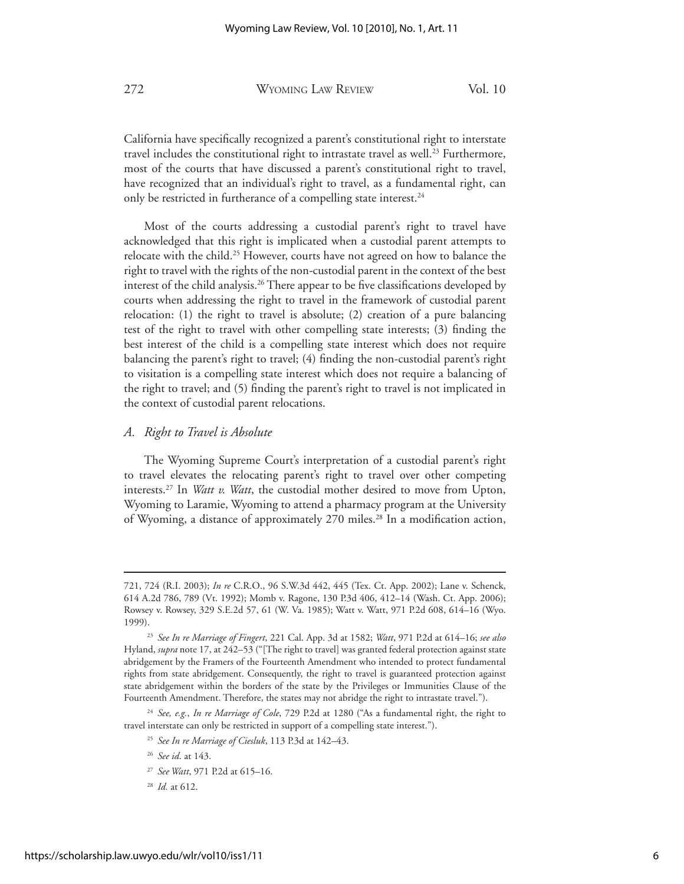California have specifically recognized a parent's constitutional right to interstate travel includes the constitutional right to intrastate travel as well.<sup>23</sup> Furthermore, most of the courts that have discussed a parent's constitutional right to travel, have recognized that an individual's right to travel, as a fundamental right, can only be restricted in furtherance of a compelling state interest.<sup>24</sup>

 Most of the courts addressing a custodial parent's right to travel have acknowledged that this right is implicated when a custodial parent attempts to relocate with the child.<sup>25</sup> However, courts have not agreed on how to balance the right to travel with the rights of the non-custodial parent in the context of the best interest of the child analysis.26 There appear to be five classifications developed by courts when addressing the right to travel in the framework of custodial parent relocation: (1) the right to travel is absolute; (2) creation of a pure balancing test of the right to travel with other compelling state interests; (3) finding the best interest of the child is a compelling state interest which does not require balancing the parent's right to travel; (4) finding the non-custodial parent's right to visitation is a compelling state interest which does not require a balancing of the right to travel; and (5) finding the parent's right to travel is not implicated in the context of custodial parent relocations.

#### *A. Right to Travel is Absolute*

 The Wyoming Supreme Court's interpretation of a custodial parent's right to travel elevates the relocating parent's right to travel over other competing interests.27 In *Watt v. Watt*, the custodial mother desired to move from Upton, Wyoming to Laramie, Wyoming to attend a pharmacy program at the University of Wyoming, a distance of approximately 270 miles.<sup>28</sup> In a modification action,

<sup>721, 724 (</sup>R.I. 2003); *In re* C.R.O., 96 S.W.3d 442, 445 (Tex. Ct. App. 2002); Lane v. Schenck, 614 A.2d 786, 789 (Vt. 1992); Momb v. Ragone, 130 P.3d 406, 412–14 (Wash. Ct. App. 2006); Rowsey v. Rowsey, 329 S.E.2d 57, 61 (W. Va. 1985); Watt v. Watt, 971 P.2d 608, 614–16 (Wyo. 1999).

<sup>23</sup> *See In re Marriage of Fingert*, 221 Cal. App. 3d at 1582; *Watt*, 971 P.2d at 614–16; *see also*  Hyland, *supra* note 17, at 242–53 ("[The right to travel] was granted federal protection against state abridgement by the Framers of the Fourteenth Amendment who intended to protect fundamental rights from state abridgement. Consequently, the right to travel is guaranteed protection against state abridgement within the borders of the state by the Privileges or Immunities Clause of the Fourteenth Amendment. Therefore, the states may not abridge the right to intrastate travel.").

<sup>24</sup> *See, e.g.*, *In re Marriage of Cole*, 729 P.2d at 1280 ("As a fundamental right, the right to travel interstate can only be restricted in support of a compelling state interest.").

<sup>25</sup> *See In re Marriage of Ciesluk*, 113 P.3d at 142–43.

<sup>26</sup> *See id*. at 143.

<sup>27</sup> *See Watt*, 971 P.2d at 615–16.

<sup>28</sup> *Id.* at 612.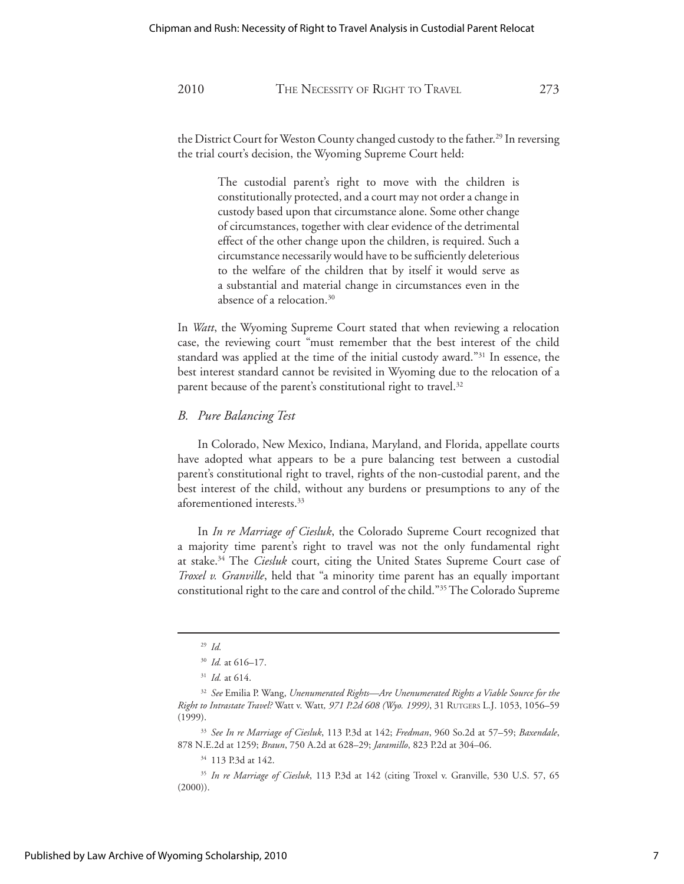the District Court for Weston County changed custody to the father.<sup>29</sup> In reversing the trial court's decision, the Wyoming Supreme Court held:

> The custodial parent's right to move with the children is constitutionally protected, and a court may not order a change in custody based upon that circumstance alone. Some other change of circumstances, together with clear evidence of the detrimental effect of the other change upon the children, is required. Such a circumstance necessarily would have to be sufficiently deleterious to the welfare of the children that by itself it would serve as a substantial and material change in circumstances even in the absence of a relocation.30

In *Watt*, the Wyoming Supreme Court stated that when reviewing a relocation case, the reviewing court "must remember that the best interest of the child standard was applied at the time of the initial custody award."31 In essence, the best interest standard cannot be revisited in Wyoming due to the relocation of a parent because of the parent's constitutional right to travel.<sup>32</sup>

#### *B. Pure Balancing Test*

 In Colorado, New Mexico, Indiana, Maryland, and Florida, appellate courts have adopted what appears to be a pure balancing test between a custodial parent's constitutional right to travel, rights of the non-custodial parent, and the best interest of the child, without any burdens or presumptions to any of the aforementioned interests.33

 In *In re Marriage of Ciesluk*, the Colorado Supreme Court recognized that a majority time parent's right to travel was not the only fundamental right at stake.34 The *Ciesluk* court, citing the United States Supreme Court case of *Troxel v. Granville*, held that "a minority time parent has an equally important constitutional right to the care and control of the child."35 The Colorado Supreme

<sup>29</sup> *Id.* 

<sup>30</sup> *Id.* at 616–17.

<sup>31</sup> *Id.* at 614.

<sup>32</sup> *See* Emilia P. Wang, *Unenumerated Rights—Are Unenumerated Rights a Viable Source for the Right to Intrastate Travel?* Watt v. Watt*, 971 P.2d 608 (Wyo. 1999)*, 31 RUTGERS L.J. 1053, 1056–59 (1999).

<sup>33</sup> *See In re Marriage of Ciesluk*, 113 P.3d at 142; *Fredman*, 960 So.2d at 57–59; *Baxendale*, 878 N.E.2d at 1259; *Braun*, 750 A.2d at 628–29; *Jaramillo*, 823 P.2d at 304–06.

<sup>34 113</sup> P.3d at 142.

<sup>35</sup> *In re Marriage of Ciesluk*, 113 P.3d at 142 (citing Troxel v. Granville, 530 U.S. 57, 65  $(2000)$ ).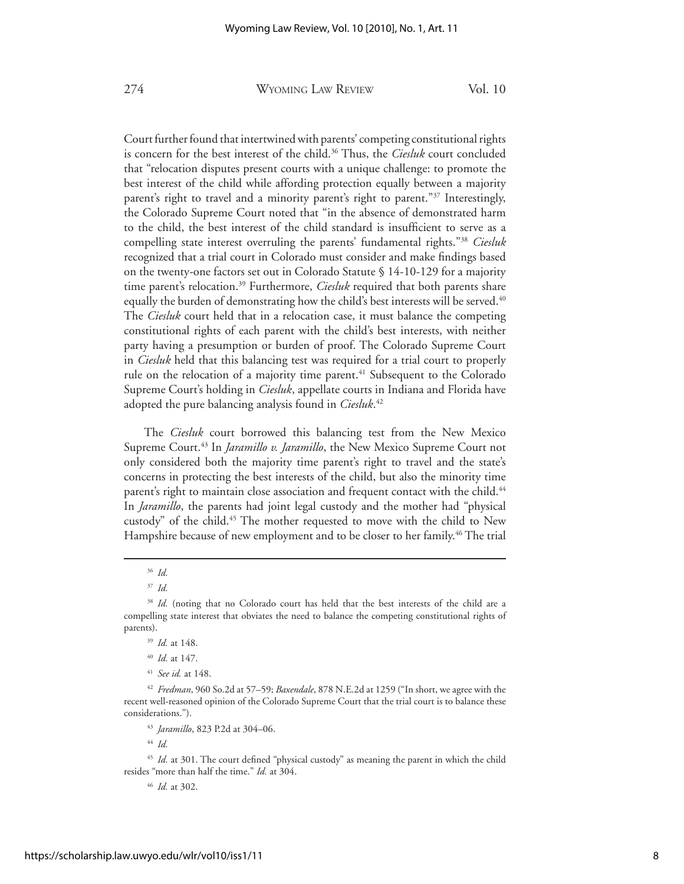Court further found that intertwined with parents' competing constitutional rights is concern for the best interest of the child.36 Thus, the *Ciesluk* court concluded that "relocation disputes present courts with a unique challenge: to promote the best interest of the child while affording protection equally between a majority parent's right to travel and a minority parent's right to parent."<sup>37</sup> Interestingly, the Colorado Supreme Court noted that "in the absence of demonstrated harm to the child, the best interest of the child standard is insufficient to serve as a compelling state interest overruling the parents' fundamental rights."38 *Ciesluk* recognized that a trial court in Colorado must consider and make findings based on the twenty-one factors set out in Colorado Statute § 14-10-129 for a majority time parent's relocation.<sup>39</sup> Furthermore, *Ciesluk* required that both parents share equally the burden of demonstrating how the child's best interests will be served.<sup>40</sup> The *Ciesluk* court held that in a relocation case, it must balance the competing constitutional rights of each parent with the child's best interests, with neither party having a presumption or burden of proof. The Colorado Supreme Court in *Ciesluk* held that this balancing test was required for a trial court to properly rule on the relocation of a majority time parent.<sup>41</sup> Subsequent to the Colorado Supreme Court's holding in *Ciesluk*, appellate courts in Indiana and Florida have adopted the pure balancing analysis found in *Ciesluk*. 42

 The *Ciesluk* court borrowed this balancing test from the New Mexico Supreme Court.43 In *Jaramillo v. Jaramillo*, the New Mexico Supreme Court not only considered both the majority time parent's right to travel and the state's concerns in protecting the best interests of the child, but also the minority time parent's right to maintain close association and frequent contact with the child.<sup>44</sup> In *Jaramillo*, the parents had joint legal custody and the mother had "physical custody" of the child.<sup>45</sup> The mother requested to move with the child to New Hampshire because of new employment and to be closer to her family.<sup>46</sup> The trial

<sup>43</sup> *Jaramillo*, 823 P.2d at 304–06.

<sup>44</sup> *Id.* 

<sup>45</sup> *Id.* at 301. The court defined "physical custody" as meaning the parent in which the child resides "more than half the time." *Id.* at 304.

<sup>46</sup> *Id.* at 302.

<sup>36</sup> *Id.* 

<sup>37</sup> *Id.* 

<sup>&</sup>lt;sup>38</sup> Id. (noting that no Colorado court has held that the best interests of the child are a compelling state interest that obviates the need to balance the competing constitutional rights of parents).

<sup>39</sup> *Id.* at 148.

<sup>40</sup> *Id.* at 147.

<sup>41</sup> *See id.* at 148.

<sup>42</sup> *Fredman*, 960 So.2d at 57–59; *Baxendale*, 878 N.E.2d at 1259 ("In short, we agree with the recent well-reasoned opinion of the Colorado Supreme Court that the trial court is to balance these considerations.").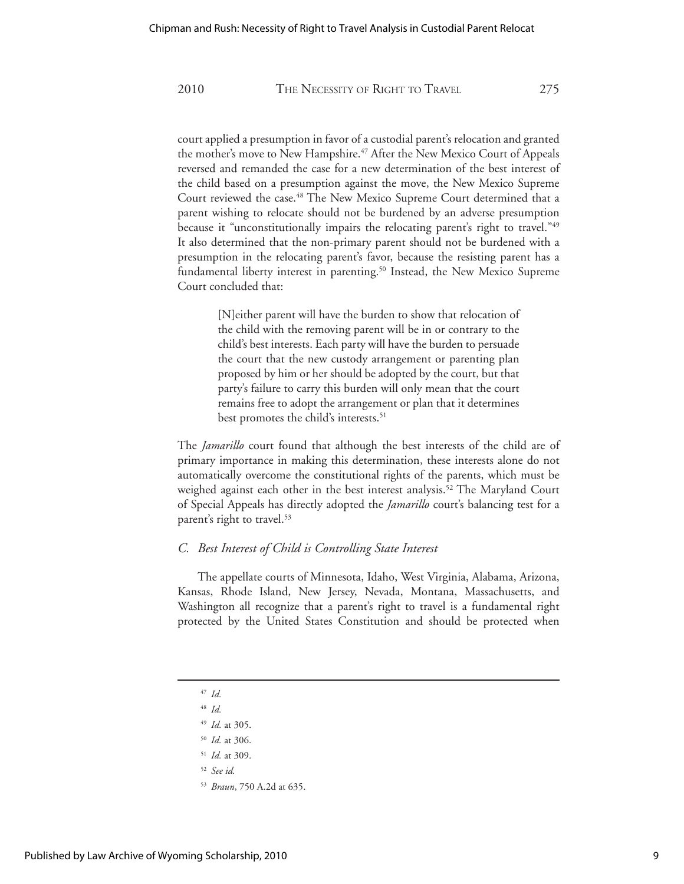court applied a presumption in favor of a custodial parent's relocation and granted the mother's move to New Hampshire.<sup>47</sup> After the New Mexico Court of Appeals reversed and remanded the case for a new determination of the best interest of the child based on a presumption against the move, the New Mexico Supreme Court reviewed the case.<sup>48</sup> The New Mexico Supreme Court determined that a parent wishing to relocate should not be burdened by an adverse presumption because it "unconstitutionally impairs the relocating parent's right to travel."<sup>49</sup> It also determined that the non-primary parent should not be burdened with a presumption in the relocating parent's favor, because the resisting parent has a fundamental liberty interest in parenting.<sup>50</sup> Instead, the New Mexico Supreme Court concluded that:

> [N]either parent will have the burden to show that relocation of the child with the removing parent will be in or contrary to the child's best interests. Each party will have the burden to persuade the court that the new custody arrangement or parenting plan proposed by him or her should be adopted by the court, but that party's failure to carry this burden will only mean that the court remains free to adopt the arrangement or plan that it determines best promotes the child's interests.<sup>51</sup>

The *Jamarillo* court found that although the best interests of the child are of primary importance in making this determination, these interests alone do not automatically overcome the constitutional rights of the parents, which must be weighed against each other in the best interest analysis.<sup>52</sup> The Maryland Court of Special Appeals has directly adopted the *Jamarillo* court's balancing test for a parent's right to travel.<sup>53</sup>

#### *C. Best Interest of Child is Controlling State Interest*

 The appellate courts of Minnesota, Idaho, West Virginia, Alabama, Arizona, Kansas, Rhode Island, New Jersey, Nevada, Montana, Massachusetts, and Washington all recognize that a parent's right to travel is a fundamental right protected by the United States Constitution and should be protected when

- <sup>47</sup> *Id.*
- <sup>48</sup> *Id.*
- <sup>49</sup> *Id.* at 305.
- <sup>50</sup> *Id.* at 306.
- <sup>51</sup> *Id.* at 309.
- <sup>52</sup> *See id.*
- <sup>53</sup> *Braun*, 750 A.2d at 635.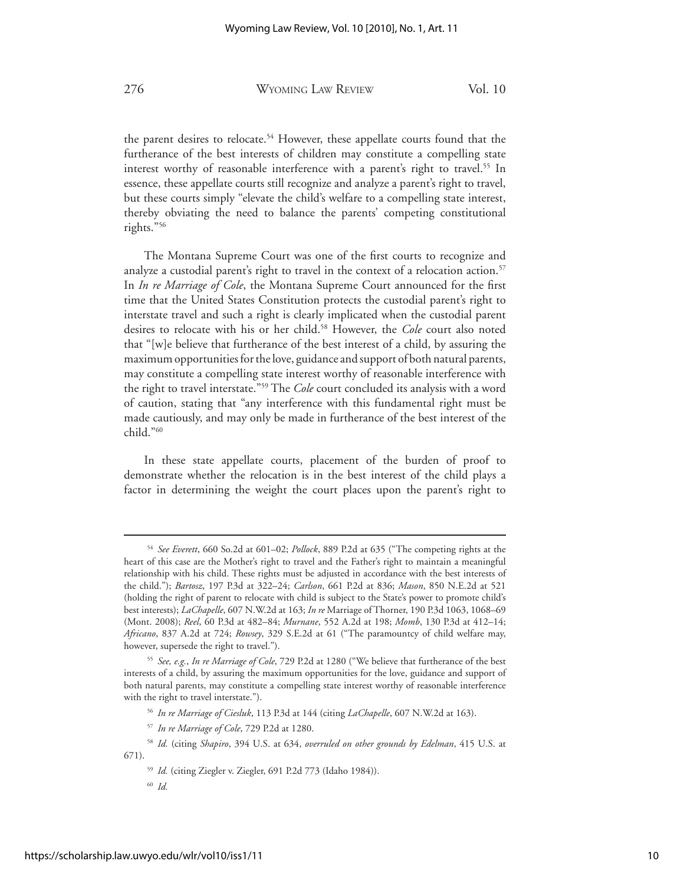the parent desires to relocate.<sup>54</sup> However, these appellate courts found that the furtherance of the best interests of children may constitute a compelling state interest worthy of reasonable interference with a parent's right to travel.<sup>55</sup> In essence, these appellate courts still recognize and analyze a parent's right to travel, but these courts simply "elevate the child's welfare to a compelling state interest, thereby obviating the need to balance the parents' competing constitutional rights."56

 The Montana Supreme Court was one of the first courts to recognize and analyze a custodial parent's right to travel in the context of a relocation action.<sup>57</sup> In *In re Marriage of Cole*, the Montana Supreme Court announced for the first time that the United States Constitution protects the custodial parent's right to interstate travel and such a right is clearly implicated when the custodial parent desires to relocate with his or her child.58 However, the *Cole* court also noted that "[w]e believe that furtherance of the best interest of a child, by assuring the maximum opportunities for the love, guidance and support of both natural parents, may constitute a compelling state interest worthy of reasonable interference with the right to travel interstate."59 The *Cole* court concluded its analysis with a word of caution, stating that "any interference with this fundamental right must be made cautiously, and may only be made in furtherance of the best interest of the child."60

 In these state appellate courts, placement of the burden of proof to demonstrate whether the relocation is in the best interest of the child plays a factor in determining the weight the court places upon the parent's right to

<sup>54</sup> *See Everett*, 660 So.2d at 601–02; *Pollock*, 889 P.2d at 635 ("The competing rights at the heart of this case are the Mother's right to travel and the Father's right to maintain a meaningful relationship with his child. These rights must be adjusted in accordance with the best interests of the child."); *Bartosz*, 197 P.3d at 322–24; *Carlson*, 661 P.2d at 836; *Mason*, 850 N.E.2d at 521 (holding the right of parent to relocate with child is subject to the State's power to promote child's best interests); *LaChapelle*, 607 N.W.2d at 163; *In re* Marriage of Thorner, 190 P.3d 1063, 1068–69 (Mont. 2008); *Reel*, 60 P.3d at 482–84; *Murnane*, 552 A.2d at 198; *Momb*, 130 P.3d at 412–14; *Africano*, 837 A.2d at 724; *Rowsey*, 329 S.E.2d at 61 ("The paramountcy of child welfare may, however, supersede the right to travel.").

<sup>55</sup> *See, e.g.*, *In re Marriage of Cole*, 729 P.2d at 1280 ("We believe that furtherance of the best interests of a child, by assuring the maximum opportunities for the love, guidance and support of both natural parents, may constitute a compelling state interest worthy of reasonable interference with the right to travel interstate.").

<sup>56</sup> *In re Marriage of Ciesluk*, 113 P.3d at 144 (citing *LaChapelle*, 607 N.W.2d at 163).

<sup>57</sup> *In re Marriage of Cole*, 729 P.2d at 1280.

<sup>58</sup> *Id.* (citing *Shapiro*, 394 U.S. at 634, *overruled on other grounds by Edelman*, 415 U.S. at 671).

<sup>59</sup> *Id.* (citing Ziegler v. Ziegler, 691 P.2d 773 (Idaho 1984)).

<sup>60</sup> *Id.*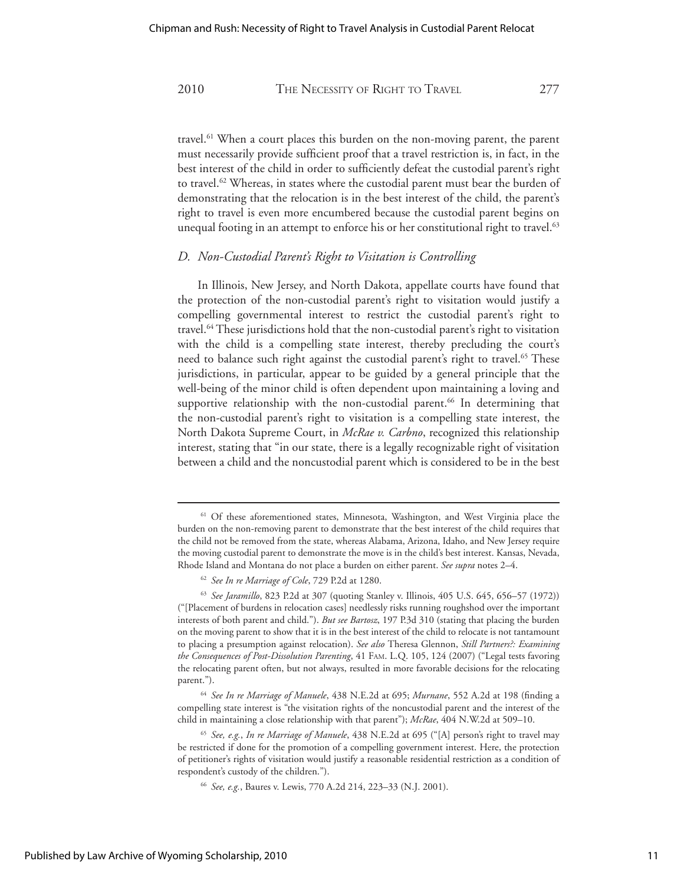travel.61 When a court places this burden on the non-moving parent, the parent must necessarily provide sufficient proof that a travel restriction is, in fact, in the best interest of the child in order to sufficiently defeat the custodial parent's right to travel.<sup>62</sup> Whereas, in states where the custodial parent must bear the burden of demonstrating that the relocation is in the best interest of the child, the parent's right to travel is even more encumbered because the custodial parent begins on unequal footing in an attempt to enforce his or her constitutional right to travel.<sup>63</sup>

#### *D. Non-Custodial Parent's Right to Visitation is Controlling*

 In Illinois, New Jersey, and North Dakota, appellate courts have found that the protection of the non-custodial parent's right to visitation would justify a compelling governmental interest to restrict the custodial parent's right to travel.64 These jurisdictions hold that the non-custodial parent's right to visitation with the child is a compelling state interest, thereby precluding the court's need to balance such right against the custodial parent's right to travel.<sup>65</sup> These jurisdictions, in particular, appear to be guided by a general principle that the well-being of the minor child is often dependent upon maintaining a loving and supportive relationship with the non-custodial parent.<sup>66</sup> In determining that the non-custodial parent's right to visitation is a compelling state interest, the North Dakota Supreme Court, in *McRae v. Carbno*, recognized this relationship interest, stating that "in our state, there is a legally recognizable right of visitation between a child and the noncustodial parent which is considered to be in the best

<sup>64</sup> *See In re Marriage of Manuele*, 438 N.E.2d at 695; *Murnane*, 552 A.2d at 198 (finding a compelling state interest is "the visitation rights of the noncustodial parent and the interest of the child in maintaining a close relationship with that parent"); *McRae*, 404 N.W.2d at 509–10.

<sup>&</sup>lt;sup>61</sup> Of these aforementioned states, Minnesota, Washington, and West Virginia place the burden on the non-removing parent to demonstrate that the best interest of the child requires that the child not be removed from the state, whereas Alabama, Arizona, Idaho, and New Jersey require the moving custodial parent to demonstrate the move is in the child's best interest. Kansas, Nevada, Rhode Island and Montana do not place a burden on either parent. *See supra* notes 2–4.

<sup>62</sup> *See In re Marriage of Cole*, 729 P.2d at 1280.

<sup>63</sup> *See Jaramillo*, 823 P.2d at 307 (quoting Stanley v. Illinois, 405 U.S. 645, 656–57 (1972)) ("[Placement of burdens in relocation cases] needlessly risks running roughshod over the important interests of both parent and child."). *But see Bartosz*, 197 P.3d 310 (stating that placing the burden on the moving parent to show that it is in the best interest of the child to relocate is not tantamount to placing a presumption against relocation). *See also* Theresa Glennon, *Still Partners?: Examining the Consequences of Post-Dissolution Parenting*, 41 FAM. L.Q. 105, 124 (2007) ("Legal tests favoring the relocating parent often, but not always, resulted in more favorable decisions for the relocating parent.").

<sup>65</sup> *See, e.g.*, *In re Marriage of Manuele*, 438 N.E.2d at 695 ("[A] person's right to travel may be restricted if done for the promotion of a compelling government interest. Here, the protection of petitioner's rights of visitation would justify a reasonable residential restriction as a condition of respondent's custody of the children.").

<sup>66</sup> *See, e.g.*, Baures v. Lewis, 770 A.2d 214, 223–33 (N.J. 2001).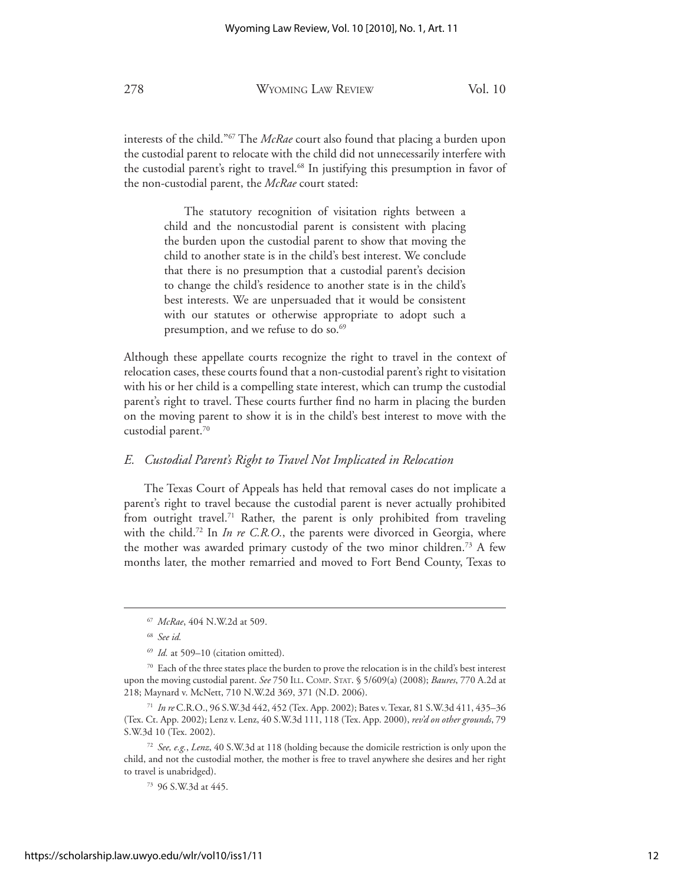interests of the child."67 The *McRae* court also found that placing a burden upon the custodial parent to relocate with the child did not unnecessarily interfere with the custodial parent's right to travel.<sup>68</sup> In justifying this presumption in favor of the non-custodial parent, the *McRae* court stated:

> The statutory recognition of visitation rights between a child and the noncustodial parent is consistent with placing the burden upon the custodial parent to show that moving the child to another state is in the child's best interest. We conclude that there is no presumption that a custodial parent's decision to change the child's residence to another state is in the child's best interests. We are unpersuaded that it would be consistent with our statutes or otherwise appropriate to adopt such a presumption, and we refuse to do so.<sup>69</sup>

Although these appellate courts recognize the right to travel in the context of relocation cases, these courts found that a non-custodial parent's right to visitation with his or her child is a compelling state interest, which can trump the custodial parent's right to travel. These courts further find no harm in placing the burden on the moving parent to show it is in the child's best interest to move with the custodial parent.70

#### *E. Custodial Parent's Right to Travel Not Implicated in Relocation*

 The Texas Court of Appeals has held that removal cases do not implicate a parent's right to travel because the custodial parent is never actually prohibited from outright travel.<sup>71</sup> Rather, the parent is only prohibited from traveling with the child.<sup>72</sup> In *In re C.R.O.*, the parents were divorced in Georgia, where the mother was awarded primary custody of the two minor children.73 A few months later, the mother remarried and moved to Fort Bend County, Texas to

<sup>67</sup> *McRae*, 404 N.W.2d at 509.

<sup>68</sup> *See id.*

<sup>&</sup>lt;sup>69</sup> *Id.* at 509-10 (citation omitted).

<sup>&</sup>lt;sup>70</sup> Each of the three states place the burden to prove the relocation is in the child's best interest upon the moving custodial parent. *See* 750 ILL. COMP. STAT. § 5/609(a) (2008); *Baures*, 770 A.2d at 218; Maynard v. McNett, 710 N.W.2d 369, 371 (N.D. 2006).

<sup>71</sup> *In re* C.R.O., 96 S.W.3d 442, 452 (Tex. App. 2002); Bates v. Texar, 81 S.W.3d 411, 435–36 (Tex. Ct. App. 2002); Lenz v. Lenz, 40 S.W.3d 111, 118 (Tex. App. 2000), *rev'd on other grounds*, 79 S.W.3d 10 (Tex. 2002).

<sup>72</sup> *See, e.g.*, *Lenz*, 40 S.W.3d at 118 (holding because the domicile restriction is only upon the child, and not the custodial mother, the mother is free to travel anywhere she desires and her right to travel is unabridged).

<sup>73 96</sup> S.W.3d at 445.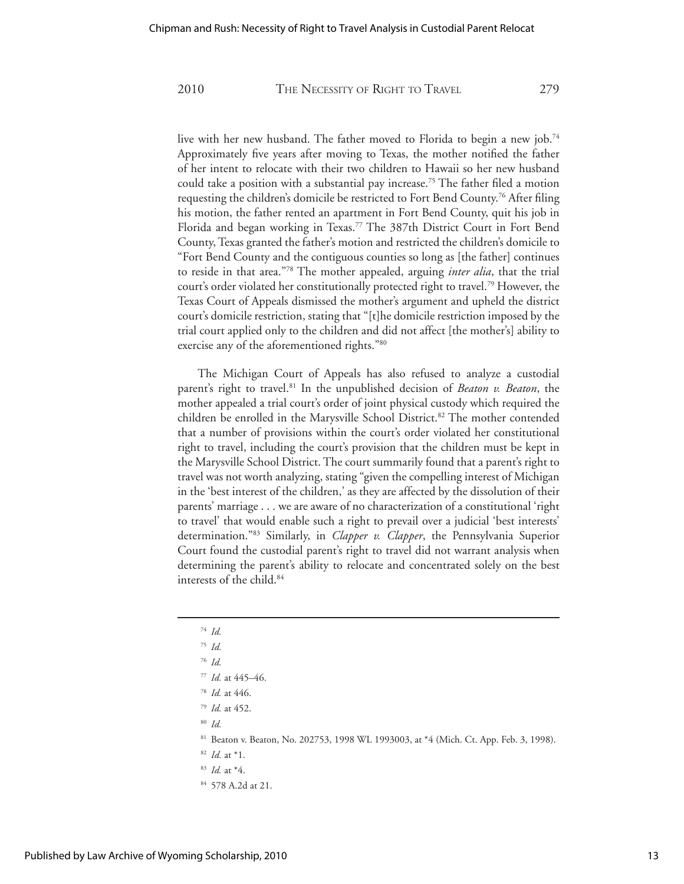live with her new husband. The father moved to Florida to begin a new job.<sup>74</sup> Approximately five years after moving to Texas, the mother notified the father of her intent to relocate with their two children to Hawaii so her new husband could take a position with a substantial pay increase.<sup>75</sup> The father filed a motion requesting the children's domicile be restricted to Fort Bend County.<sup>76</sup> After filing his motion, the father rented an apartment in Fort Bend County, quit his job in Florida and began working in Texas.<sup>77</sup> The 387th District Court in Fort Bend County, Texas granted the father's motion and restricted the children's domicile to "Fort Bend County and the contiguous counties so long as [the father] continues to reside in that area."78 The mother appealed, arguing *inter alia*, that the trial court's order violated her constitutionally protected right to travel.79 However, the Texas Court of Appeals dismissed the mother's argument and upheld the district court's domicile restriction, stating that "[t]he domicile restriction imposed by the trial court applied only to the children and did not affect [the mother's] ability to exercise any of the aforementioned rights."<sup>80</sup>

The Michigan Court of Appeals has also refused to analyze a custodial parent's right to travel.<sup>81</sup> In the unpublished decision of *Beaton v. Beaton*, the mother appealed a trial court's order of joint physical custody which required the children be enrolled in the Marysville School District.<sup>82</sup> The mother contended that a number of provisions within the court's order violated her constitutional right to travel, including the court's provision that the children must be kept in the Marysville School District. The court summarily found that a parent's right to travel was not worth analyzing, stating "given the compelling interest of Michigan in the 'best interest of the children,' as they are affected by the dissolution of their parents' marriage . . . we are aware of no characterization of a constitutional 'right to travel' that would enable such a right to prevail over a judicial 'best interests' determination."83 Similarly, in *Clapper v. Clapper*, the Pennsylvania Superior Court found the custodial parent's right to travel did not warrant analysis when determining the parent's ability to relocate and concentrated solely on the best interests of the child.84

<sup>74</sup> *Id.* <sup>75</sup> *Id.* <sup>76</sup> *Id.* <sup>77</sup> *Id.* at 445–46. <sup>78</sup> *Id.* at 446. <sup>79</sup> *Id.* at 452. <sup>80</sup> *Id.*  81 Beaton v. Beaton, No. 202753, 1998 WL 1993003, at \*4 (Mich. Ct. App. Feb. 3, 1998). <sup>82</sup> *Id.* at \*1. <sup>83</sup> *Id.* at \*4. 84 578 A.2d at 21.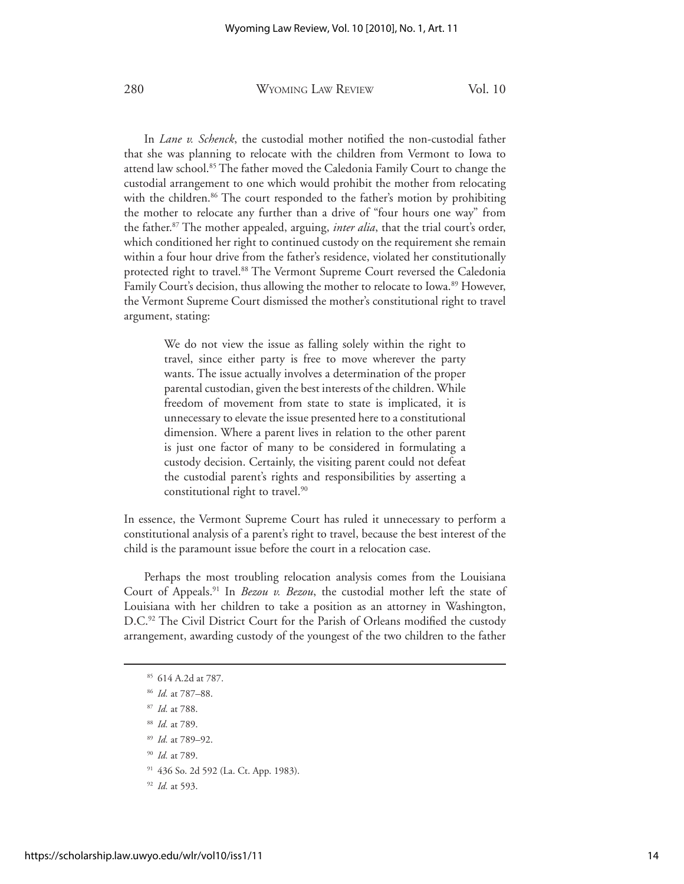In *Lane v. Schenck*, the custodial mother notified the non-custodial father that she was planning to relocate with the children from Vermont to Iowa to attend law school.<sup>85</sup> The father moved the Caledonia Family Court to change the custodial arrangement to one which would prohibit the mother from relocating with the children.<sup>86</sup> The court responded to the father's motion by prohibiting the mother to relocate any further than a drive of "four hours one way" from the father.87 The mother appealed, arguing, *inter alia*, that the trial court's order, which conditioned her right to continued custody on the requirement she remain within a four hour drive from the father's residence, violated her constitutionally protected right to travel.<sup>88</sup> The Vermont Supreme Court reversed the Caledonia Family Court's decision, thus allowing the mother to relocate to Iowa.<sup>89</sup> However, the Vermont Supreme Court dismissed the mother's constitutional right to travel argument, stating:

> We do not view the issue as falling solely within the right to travel, since either party is free to move wherever the party wants. The issue actually involves a determination of the proper parental custodian, given the best interests of the children. While freedom of movement from state to state is implicated, it is unnecessary to elevate the issue presented here to a constitutional dimension. Where a parent lives in relation to the other parent is just one factor of many to be considered in formulating a custody decision. Certainly, the visiting parent could not defeat the custodial parent's rights and responsibilities by asserting a constitutional right to travel.<sup>90</sup>

In essence, the Vermont Supreme Court has ruled it unnecessary to perform a constitutional analysis of a parent's right to travel, because the best interest of the child is the paramount issue before the court in a relocation case.

 Perhaps the most troubling relocation analysis comes from the Louisiana Court of Appeals.<sup>91</sup> In *Bezou v. Bezou*, the custodial mother left the state of Louisiana with her children to take a position as an attorney in Washington, D.C.<sup>92</sup> The Civil District Court for the Parish of Orleans modified the custody arrangement, awarding custody of the youngest of the two children to the father

- <sup>87</sup> *Id.* at 788.
- <sup>88</sup> *Id.* at 789.
- <sup>89</sup> *Id.* at 789–92.
- <sup>90</sup> *Id.* at 789.

<sup>92</sup> *Id.* at 593.

<sup>85 614</sup> A.2d at 787.

<sup>86</sup> *Id.* at 787–88.

<sup>91 436</sup> So. 2d 592 (La. Ct. App. 1983).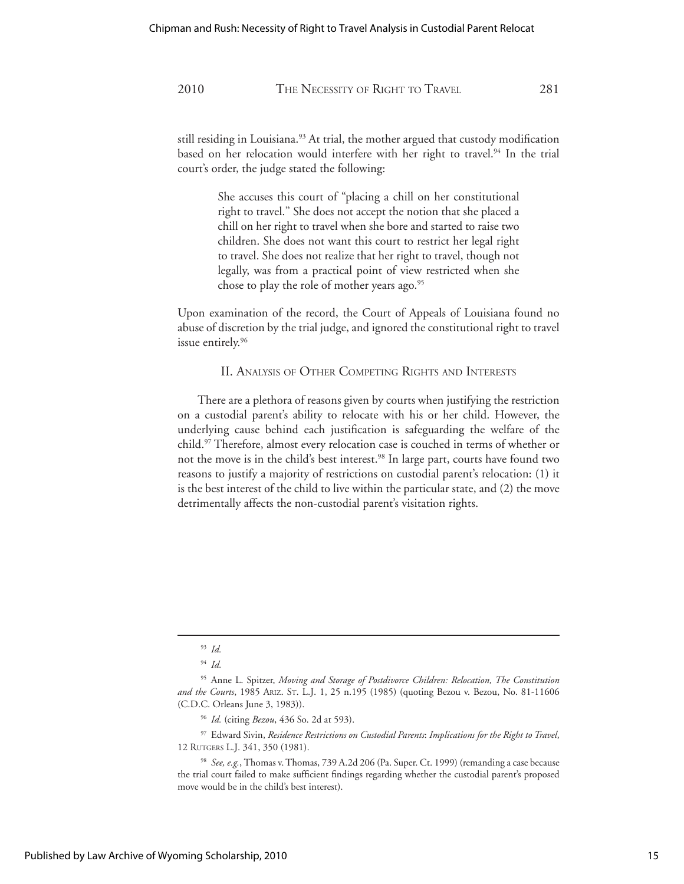still residing in Louisiana.<sup>93</sup> At trial, the mother argued that custody modification based on her relocation would interfere with her right to travel.<sup>94</sup> In the trial court's order, the judge stated the following:

> She accuses this court of "placing a chill on her constitutional right to travel." She does not accept the notion that she placed a chill on her right to travel when she bore and started to raise two children. She does not want this court to restrict her legal right to travel. She does not realize that her right to travel, though not legally, was from a practical point of view restricted when she chose to play the role of mother years ago.<sup>95</sup>

Upon examination of the record, the Court of Appeals of Louisiana found no abuse of discretion by the trial judge, and ignored the constitutional right to travel issue entirely.<sup>96</sup>

#### II. ANALYSIS OF OTHER COMPETING RIGHTS AND INTERESTS

 There are a plethora of reasons given by courts when justifying the restriction on a custodial parent's ability to relocate with his or her child. However, the underlying cause behind each justification is safeguarding the welfare of the child.97 Therefore, almost every relocation case is couched in terms of whether or not the move is in the child's best interest.<sup>98</sup> In large part, courts have found two reasons to justify a majority of restrictions on custodial parent's relocation: (1) it is the best interest of the child to live within the particular state, and (2) the move detrimentally affects the non-custodial parent's visitation rights.

<sup>93</sup> *Id.*

<sup>94</sup> *Id.*

<sup>95</sup> Anne L. Spitzer, *Moving and Storage of Postdivorce Children: Relocation, The Constitution and the Courts*, 1985 ARIZ. ST. L.J. 1, 25 n.195 (1985) (quoting Bezou v. Bezou, No. 81-11606 (C.D.C. Orleans June 3, 1983)).

<sup>96</sup> *Id.* (citing *Bezou*, 436 So. 2d at 593).

<sup>97</sup> Edward Sivin, *Residence Restrictions on Custodial Parents*: *Implications for the Right to Travel*, 12 RUTGERS L.J. 341, 350 (1981).

<sup>98</sup> *See, e.g.*, Thomas v. Thomas, 739 A.2d 206 (Pa. Super. Ct. 1999) (remanding a case because the trial court failed to make sufficient findings regarding whether the custodial parent's proposed move would be in the child's best interest).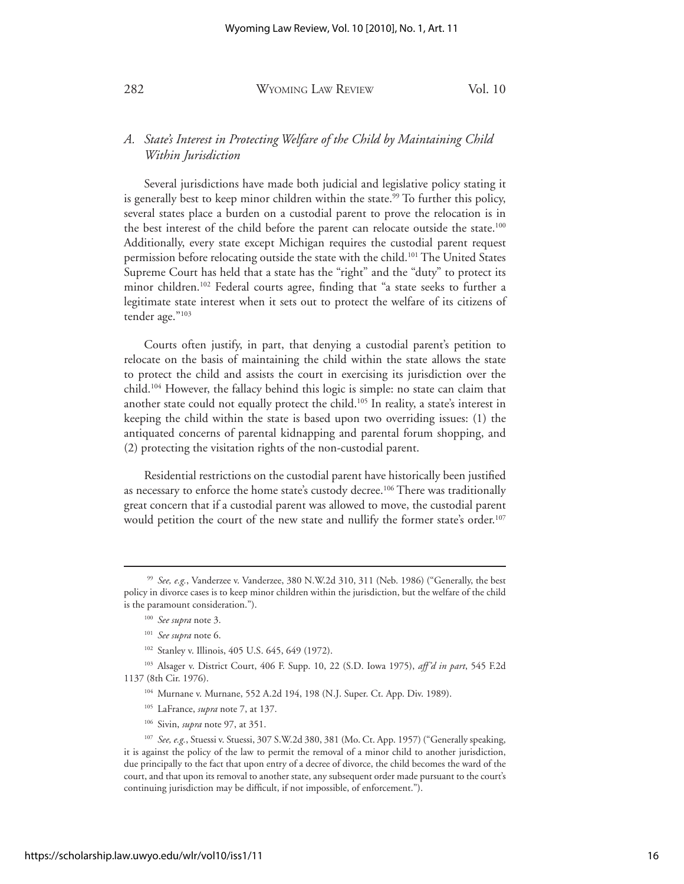### *A. State's Interest in Protecting Welfare of the Child by Maintaining Child Within Jurisdiction*

 Several jurisdictions have made both judicial and legislative policy stating it is generally best to keep minor children within the state.<sup>99</sup> To further this policy, several states place a burden on a custodial parent to prove the relocation is in the best interest of the child before the parent can relocate outside the state.<sup>100</sup> Additionally, every state except Michigan requires the custodial parent request permission before relocating outside the state with the child.<sup>101</sup> The United States Supreme Court has held that a state has the "right" and the "duty" to protect its minor children.<sup>102</sup> Federal courts agree, finding that "a state seeks to further a legitimate state interest when it sets out to protect the welfare of its citizens of tender age."103

 Courts often justify, in part, that denying a custodial parent's petition to relocate on the basis of maintaining the child within the state allows the state to protect the child and assists the court in exercising its jurisdiction over the child.104 However, the fallacy behind this logic is simple: no state can claim that another state could not equally protect the child.<sup>105</sup> In reality, a state's interest in keeping the child within the state is based upon two overriding issues: (1) the antiquated concerns of parental kidnapping and parental forum shopping, and (2) protecting the visitation rights of the non-custodial parent.

 Residential restrictions on the custodial parent have historically been justified as necessary to enforce the home state's custody decree.<sup>106</sup> There was traditionally great concern that if a custodial parent was allowed to move, the custodial parent would petition the court of the new state and nullify the former state's order.<sup>107</sup>

<sup>99</sup> *See, e.g.*, Vanderzee v. Vanderzee, 380 N.W.2d 310, 311 (Neb. 1986) ("Generally, the best policy in divorce cases is to keep minor children within the jurisdiction, but the welfare of the child is the paramount consideration.").

<sup>100</sup> *See supra* note 3.

<sup>101</sup> *See supra* note 6.

<sup>&</sup>lt;sup>102</sup> Stanley v. Illinois, 405 U.S. 645, 649 (1972).

<sup>103</sup> Alsager v. District Court, 406 F. Supp. 10, 22 (S.D. Iowa 1975), *aff'd in part*, 545 F.2d 1137 (8th Cir. 1976).

<sup>104</sup> Murnane v. Murnane, 552 A.2d 194, 198 (N.J. Super. Ct. App. Div. 1989).

<sup>105</sup> LaFrance, *supra* note 7, at 137.

<sup>106</sup> Sivin, *supra* note 97, at 351.

<sup>107</sup> *See, e.g.*, Stuessi v. Stuessi, 307 S.W.2d 380, 381 (Mo. Ct. App. 1957) ("Generally speaking, it is against the policy of the law to permit the removal of a minor child to another jurisdiction, due principally to the fact that upon entry of a decree of divorce, the child becomes the ward of the court, and that upon its removal to another state, any subsequent order made pursuant to the court's continuing jurisdiction may be difficult, if not impossible, of enforcement.").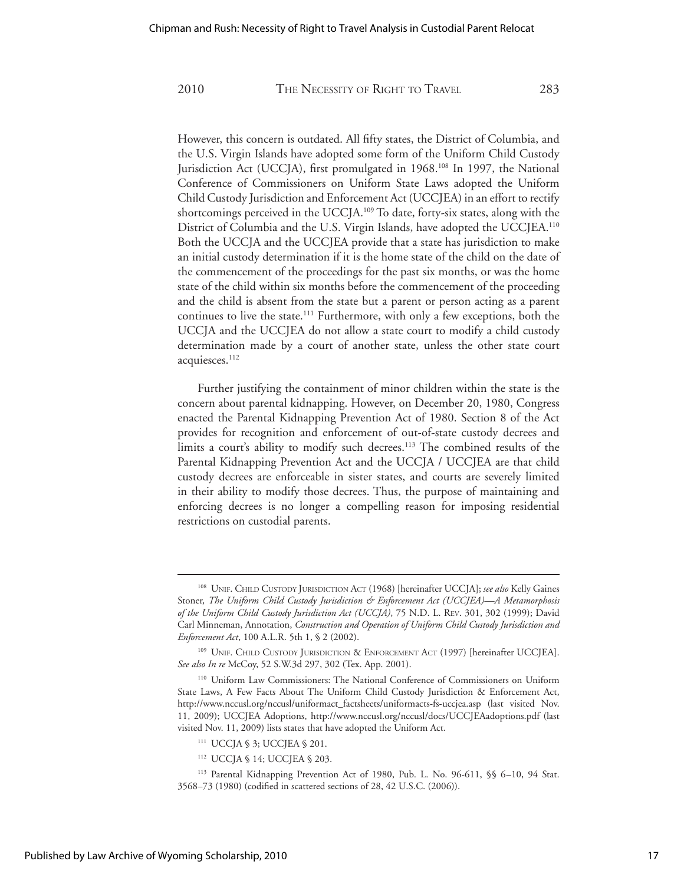However, this concern is outdated. All fifty states, the District of Columbia, and the U.S. Virgin Islands have adopted some form of the Uniform Child Custody Jurisdiction Act (UCCJA), first promulgated in 1968.<sup>108</sup> In 1997, the National Conference of Commissioners on Uniform State Laws adopted the Uniform Child Custody Jurisdiction and Enforcement Act (UCCJEA) in an effort to rectify shortcomings perceived in the UCCJA.<sup>109</sup> To date, forty-six states, along with the District of Columbia and the U.S. Virgin Islands, have adopted the UCCJEA.<sup>110</sup> Both the UCCJA and the UCCJEA provide that a state has jurisdiction to make an initial custody determination if it is the home state of the child on the date of the commencement of the proceedings for the past six months, or was the home state of the child within six months before the commencement of the proceeding and the child is absent from the state but a parent or person acting as a parent continues to live the state.<sup>111</sup> Furthermore, with only a few exceptions, both the UCCJA and the UCCJEA do not allow a state court to modify a child custody determination made by a court of another state, unless the other state court acquiesces.<sup>112</sup>

 Further justifying the containment of minor children within the state is the concern about parental kidnapping. However, on December 20, 1980, Congress enacted the Parental Kidnapping Prevention Act of 1980. Section 8 of the Act provides for recognition and enforcement of out-of-state custody decrees and limits a court's ability to modify such decrees.<sup>113</sup> The combined results of the Parental Kidnapping Prevention Act and the UCCJA / UCCJEA are that child custody decrees are enforceable in sister states, and courts are severely limited in their ability to modify those decrees. Thus, the purpose of maintaining and enforcing decrees is no longer a compelling reason for imposing residential restrictions on custodial parents.

<sup>108</sup> UNIF. CHILD CUSTODY JURISDICTION ACT (1968) [hereinafter UCCJA]; *see also* Kelly Gaines Stoner, *The Uniform Child Custody Jurisdiction & Enforcement Act (UCCJEA)—A Metamorphosis of the Uniform Child Custody Jurisdiction Act (UCCJA)*, 75 N.D. L. REV. 301, 302 (1999); David Carl Minneman, Annotation, *Construction and Operation of Uniform Child Custody Jurisdiction and Enforcement Act*, 100 A.L.R. 5th 1, § 2 (2002).

<sup>109</sup> UNIF. CHILD CUSTODY JURISDICTION & ENFORCEMENT ACT (1997) [hereinafter UCCJEA]. *See also In re* McCoy, 52 S.W.3d 297, 302 (Tex. App. 2001).

<sup>110</sup> Uniform Law Commissioners: The National Conference of Commissioners on Uniform State Laws, A Few Facts About The Uniform Child Custody Jurisdiction & Enforcement Act, http://www.nccusl.org/nccusl/uniformact\_factsheets/uniformacts-fs-uccjea.asp (last visited Nov. 11, 2009); UCCJEA Adoptions, http://www.nccusl.org/nccusl/docs/UCCJEAadoptions.pdf (last visited Nov. 11, 2009) lists states that have adopted the Uniform Act.

<sup>111</sup> UCCJA § 3; UCCJEA § 201.

<sup>112</sup> UCCJA § 14; UCCJEA § 203.

<sup>113</sup> Parental Kidnapping Prevention Act of 1980, Pub. L. No. 96-611, §§ 6–10, 94 Stat. 3568–73 (1980) (codified in scattered sections of 28, 42 U.S.C. (2006)).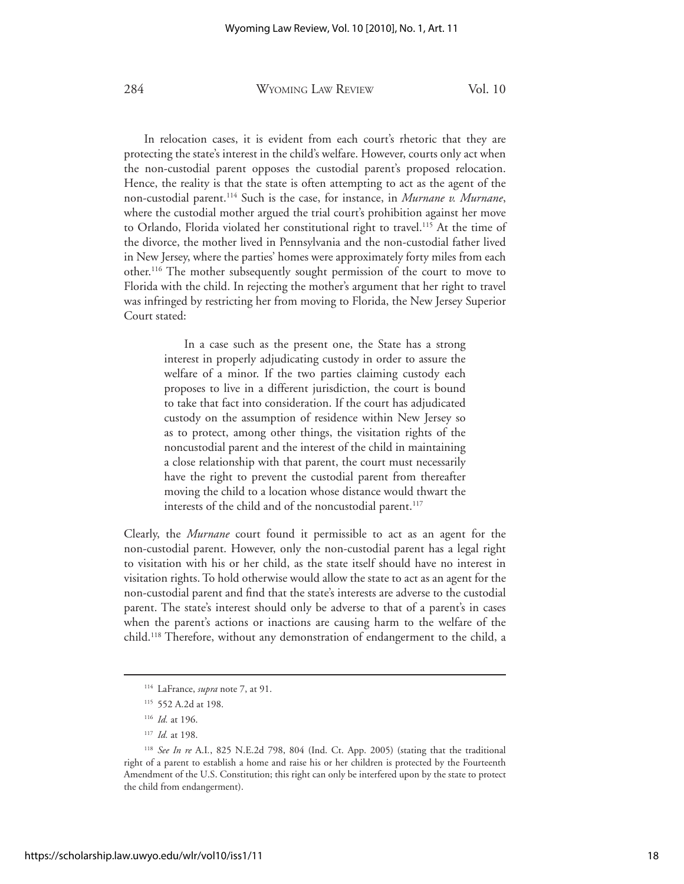In relocation cases, it is evident from each court's rhetoric that they are protecting the state's interest in the child's welfare. However, courts only act when the non-custodial parent opposes the custodial parent's proposed relocation. Hence, the reality is that the state is often attempting to act as the agent of the non-custodial parent.114 Such is the case, for instance, in *Murnane v. Murnane*, where the custodial mother argued the trial court's prohibition against her move to Orlando, Florida violated her constitutional right to travel.115 At the time of the divorce, the mother lived in Pennsylvania and the non-custodial father lived in New Jersey, where the parties' homes were approximately forty miles from each other.116 The mother subsequently sought permission of the court to move to Florida with the child. In rejecting the mother's argument that her right to travel was infringed by restricting her from moving to Florida, the New Jersey Superior Court stated:

> In a case such as the present one, the State has a strong interest in properly adjudicating custody in order to assure the welfare of a minor. If the two parties claiming custody each proposes to live in a different jurisdiction, the court is bound to take that fact into consideration. If the court has adjudicated custody on the assumption of residence within New Jersey so as to protect, among other things, the visitation rights of the noncustodial parent and the interest of the child in maintaining a close relationship with that parent, the court must necessarily have the right to prevent the custodial parent from thereafter moving the child to a location whose distance would thwart the interests of the child and of the noncustodial parent.<sup>117</sup>

Clearly, the *Murnane* court found it permissible to act as an agent for the non-custodial parent. However, only the non-custodial parent has a legal right to visitation with his or her child, as the state itself should have no interest in visitation rights. To hold otherwise would allow the state to act as an agent for the non-custodial parent and find that the state's interests are adverse to the custodial parent. The state's interest should only be adverse to that of a parent's in cases when the parent's actions or inactions are causing harm to the welfare of the child.118 Therefore, without any demonstration of endangerment to the child, a

<sup>114</sup> LaFrance, *supra* note 7, at 91.

<sup>115 552</sup> A.2d at 198.

<sup>116</sup> *Id.* at 196.

<sup>117</sup> *Id.* at 198.

<sup>118</sup> *See In re* A.I*.*, 825 N.E.2d 798, 804 (Ind. Ct. App. 2005) (stating that the traditional right of a parent to establish a home and raise his or her children is protected by the Fourteenth Amendment of the U.S. Constitution; this right can only be interfered upon by the state to protect the child from endangerment).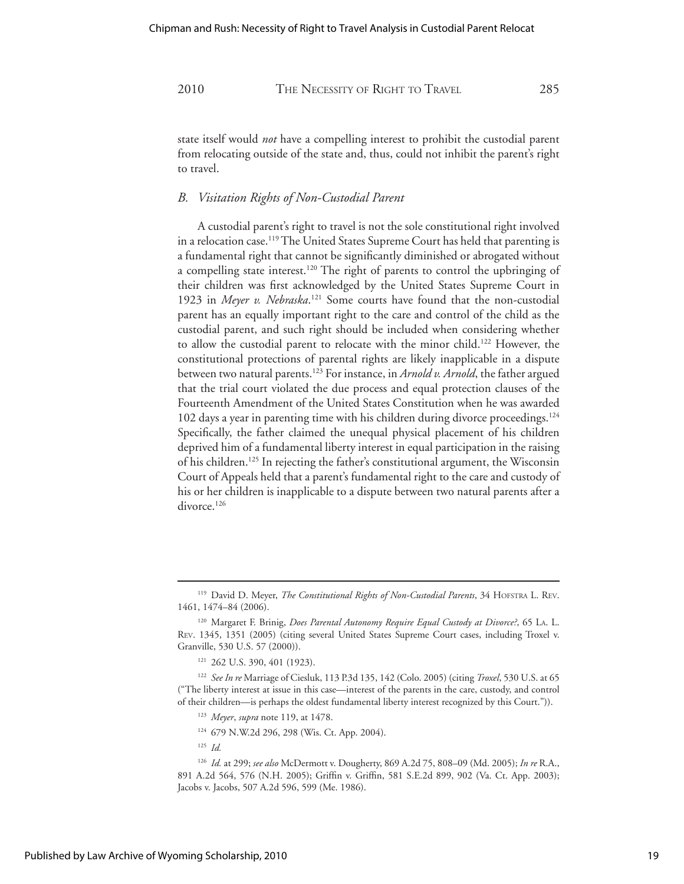state itself would *not* have a compelling interest to prohibit the custodial parent from relocating outside of the state and, thus, could not inhibit the parent's right to travel.

#### *B. Visitation Rights of Non-Custodial Parent*

 A custodial parent's right to travel is not the sole constitutional right involved in a relocation case.<sup>119</sup> The United States Supreme Court has held that parenting is a fundamental right that cannot be significantly diminished or abrogated without a compelling state interest.<sup>120</sup> The right of parents to control the upbringing of their children was first acknowledged by the United States Supreme Court in 1923 in *Meyer v. Nebraska*.<sup>121</sup> Some courts have found that the non-custodial parent has an equally important right to the care and control of the child as the custodial parent, and such right should be included when considering whether to allow the custodial parent to relocate with the minor child.<sup>122</sup> However, the constitutional protections of parental rights are likely inapplicable in a dispute between two natural parents.123 For instance, in *Arnold v. Arnold*, the father argued that the trial court violated the due process and equal protection clauses of the Fourteenth Amendment of the United States Constitution when he was awarded 102 days a year in parenting time with his children during divorce proceedings.124 Specifically, the father claimed the unequal physical placement of his children deprived him of a fundamental liberty interest in equal participation in the raising of his children.125 In rejecting the father's constitutional argument, the Wisconsin Court of Appeals held that a parent's fundamental right to the care and custody of his or her children is inapplicable to a dispute between two natural parents after a divorce.<sup>126</sup>

- <sup>123</sup> *Meyer*, *supra* note 119, at 1478.
- 124 679 N.W.2d 296, 298 (Wis. Ct. App. 2004).
- <sup>125</sup> *Id.*

<sup>119</sup> David D. Meyer, *The Constitutional Rights of Non-Custodial Parents*, 34 HOFSTRA L. REV. 1461, 1474–84 (2006).

<sup>120</sup> Margaret F. Brinig, *Does Parental Autonomy Require Equal Custody at Divorce?*, 65 LA. L. REV. 1345, 1351 (2005) (citing several United States Supreme Court cases, including Troxel v. Granville, 530 U.S. 57 (2000)).

<sup>121 262</sup> U.S. 390, 401 (1923).

<sup>122</sup> *See In re* Marriage of Ciesluk, 113 P.3d 135, 142 (Colo. 2005) (citing *Troxel*, 530 U.S. at 65 ("The liberty interest at issue in this case—interest of the parents in the care, custody, and control of their children—is perhaps the oldest fundamental liberty interest recognized by this Court.")).

<sup>126</sup> *Id.* at 299; *see also* McDermott v. Dougherty, 869 A.2d 75, 808–09 (Md. 2005); *In re* R.A., 891 A.2d 564, 576 (N.H. 2005); Griffin v. Griffin, 581 S.E.2d 899, 902 (Va. Ct. App. 2003); Jacobs v. Jacobs, 507 A.2d 596, 599 (Me. 1986).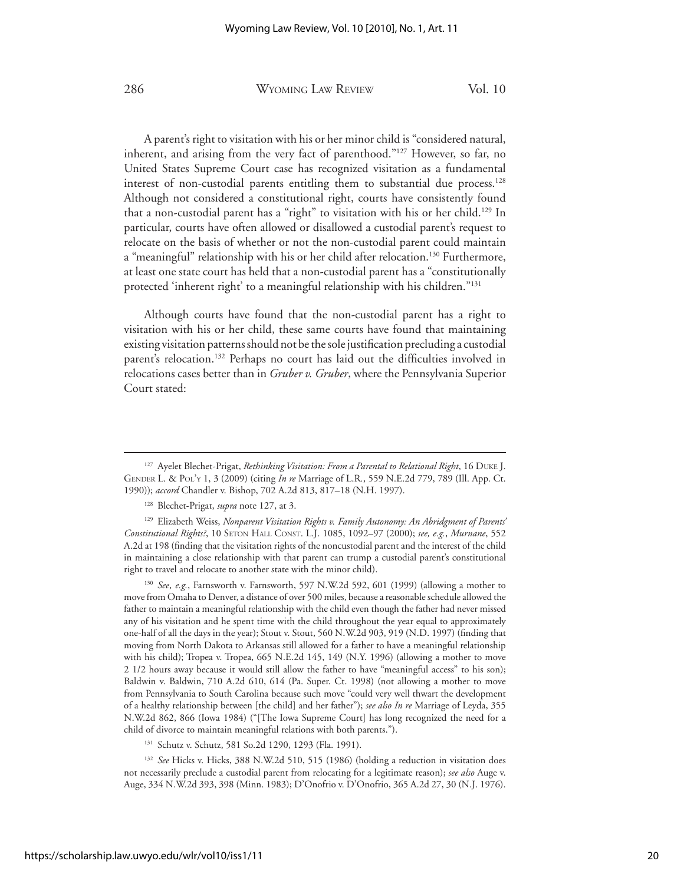A parent's right to visitation with his or her minor child is "considered natural, inherent, and arising from the very fact of parenthood."127 However, so far, no United States Supreme Court case has recognized visitation as a fundamental interest of non-custodial parents entitling them to substantial due process.<sup>128</sup> Although not considered a constitutional right, courts have consistently found that a non-custodial parent has a "right" to visitation with his or her child.<sup>129</sup> In particular, courts have often allowed or disallowed a custodial parent's request to relocate on the basis of whether or not the non-custodial parent could maintain a "meaningful" relationship with his or her child after relocation.<sup>130</sup> Furthermore, at least one state court has held that a non-custodial parent has a "constitutionally protected 'inherent right' to a meaningful relationship with his children."131

 Although courts have found that the non-custodial parent has a right to visitation with his or her child, these same courts have found that maintaining existing visitation patterns should not be the sole justification precluding a custodial parent's relocation.<sup>132</sup> Perhaps no court has laid out the difficulties involved in relocations cases better than in *Gruber v. Gruber*, where the Pennsylvania Superior Court stated:

<sup>&</sup>lt;sup>127</sup> Ayelet Blechet-Prigat, *Rethinking Visitation: From a Parental to Relational Right*, 16 DUKE J. GENDER L. & POL'Y 1, 3 (2009) (citing *In re* Marriage of L.R*.*, 559 N.E.2d 779, 789 (Ill. App. Ct. 1990)); *accord* Chandler v. Bishop, 702 A.2d 813, 817–18 (N.H. 1997).

<sup>128</sup> Blechet-Prigat, *supra* note 127, at 3.

<sup>&</sup>lt;sup>129</sup> Elizabeth Weiss, *Nonparent Visitation Rights v. Family Autonomy: An Abridgment of Parents' Constitutional Rights?*, 10 SETON HALL CONST. L.J. 1085, 1092–97 (2000); *see, e.g.*, *Murnane*, 552 A.2d at 198 (finding that the visitation rights of the noncustodial parent and the interest of the child in maintaining a close relationship with that parent can trump a custodial parent's constitutional right to travel and relocate to another state with the minor child).

<sup>&</sup>lt;sup>130</sup> *See, e.g.*, Farnsworth v. Farnsworth, 597 N.W.2d 592, 601 (1999) (allowing a mother to move from Omaha to Denver, a distance of over 500 miles, because a reasonable schedule allowed the father to maintain a meaningful relationship with the child even though the father had never missed any of his visitation and he spent time with the child throughout the year equal to approximately one-half of all the days in the year); Stout v. Stout, 560 N.W.2d 903, 919 (N.D. 1997) (finding that moving from North Dakota to Arkansas still allowed for a father to have a meaningful relationship with his child); Tropea v. Tropea, 665 N.E.2d 145, 149 (N.Y. 1996) (allowing a mother to move 2 1/2 hours away because it would still allow the father to have "meaningful access" to his son); Baldwin v. Baldwin, 710 A.2d 610, 614 (Pa. Super. Ct. 1998) (not allowing a mother to move from Pennsylvania to South Carolina because such move "could very well thwart the development of a healthy relationship between [the child] and her father"); *see also In re* Marriage of Leyda, 355 N.W.2d 862, 866 (Iowa 1984) ("[The Iowa Supreme Court] has long recognized the need for a child of divorce to maintain meaningful relations with both parents.").

<sup>131</sup> Schutz v. Schutz, 581 So.2d 1290, 1293 (Fla. 1991).

<sup>&</sup>lt;sup>132</sup> See Hicks v. Hicks, 388 N.W.2d 510, 515 (1986) (holding a reduction in visitation does not necessarily preclude a custodial parent from relocating for a legitimate reason); *see also* Auge v. Auge, 334 N.W.2d 393, 398 (Minn. 1983); D'Onofrio v. D'Onofrio, 365 A.2d 27, 30 (N.J. 1976).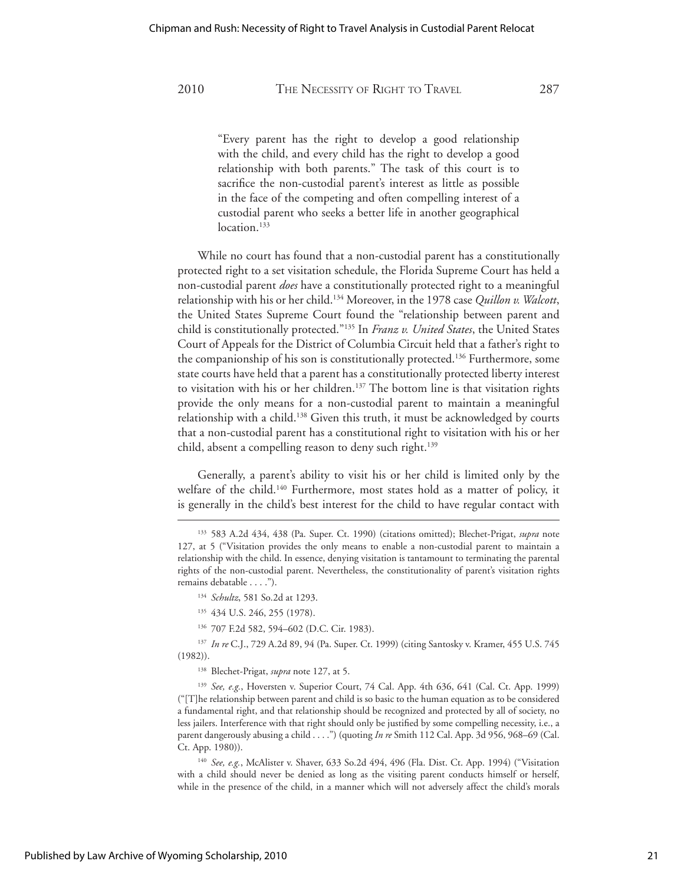"Every parent has the right to develop a good relationship with the child, and every child has the right to develop a good relationship with both parents." The task of this court is to sacrifice the non-custodial parent's interest as little as possible in the face of the competing and often compelling interest of a custodial parent who seeks a better life in another geographical location.<sup>133</sup>

 While no court has found that a non-custodial parent has a constitutionally protected right to a set visitation schedule, the Florida Supreme Court has held a non-custodial parent *does* have a constitutionally protected right to a meaningful relationship with his or her child.134 Moreover, in the 1978 case *Quillon v. Walcott*, the United States Supreme Court found the "relationship between parent and child is constitutionally protected."135 In *Franz v. United States*, the United States Court of Appeals for the District of Columbia Circuit held that a father's right to the companionship of his son is constitutionally protected.<sup>136</sup> Furthermore, some state courts have held that a parent has a constitutionally protected liberty interest to visitation with his or her children.<sup>137</sup> The bottom line is that visitation rights provide the only means for a non-custodial parent to maintain a meaningful relationship with a child.<sup>138</sup> Given this truth, it must be acknowledged by courts that a non-custodial parent has a constitutional right to visitation with his or her child, absent a compelling reason to deny such right.<sup>139</sup>

 Generally, a parent's ability to visit his or her child is limited only by the welfare of the child.<sup>140</sup> Furthermore, most states hold as a matter of policy, it is generally in the child's best interest for the child to have regular contact with

- 135 434 U.S. 246, 255 (1978).
- 136 707 F.2d 582, 594–602 (D.C. Cir. 1983).

<sup>137</sup> *In re* C.J., 729 A.2d 89, 94 (Pa. Super. Ct. 1999) (citing Santosky v. Kramer, 455 U.S. 745 (1982)).

138 Blechet-Prigat, *supra* note 127, at 5.

<sup>139</sup> *See, e.g.*, Hoversten v. Superior Court, 74 Cal. App. 4th 636, 641 (Cal. Ct. App. 1999) ("[T]he relationship between parent and child is so basic to the human equation as to be considered a fundamental right, and that relationship should be recognized and protected by all of society, no less jailers. Interference with that right should only be justified by some compelling necessity, i.e., a parent dangerously abusing a child . . . .") (quoting *In re* Smith 112 Cal. App. 3d 956, 968–69 (Cal. Ct. App. 1980)).

<sup>140</sup> *See, e.g.*, McAlister v. Shaver, 633 So.2d 494, 496 (Fla. Dist. Ct. App. 1994) ("Visitation with a child should never be denied as long as the visiting parent conducts himself or herself, while in the presence of the child, in a manner which will not adversely affect the child's morals

<sup>133 583</sup> A.2d 434, 438 (Pa. Super. Ct. 1990) (citations omitted); Blechet-Prigat, *supra* note 127, at 5 ("Visitation provides the only means to enable a non-custodial parent to maintain a relationship with the child. In essence, denying visitation is tantamount to terminating the parental rights of the non-custodial parent. Nevertheless, the constitutionality of parent's visitation rights remains debatable . . . .").

<sup>134</sup> *Schultz*, 581 So.2d at 1293.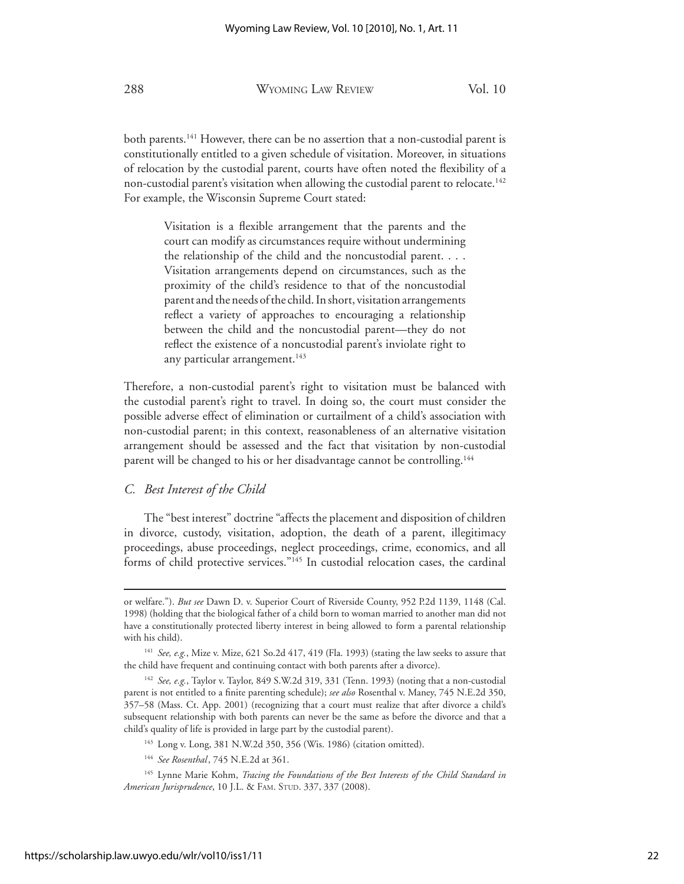both parents.<sup>141</sup> However, there can be no assertion that a non-custodial parent is constitutionally entitled to a given schedule of visitation. Moreover, in situations of relocation by the custodial parent, courts have often noted the flexibility of a non-custodial parent's visitation when allowing the custodial parent to relocate.<sup>142</sup> For example, the Wisconsin Supreme Court stated:

> Visitation is a flexible arrangement that the parents and the court can modify as circumstances require without undermining the relationship of the child and the noncustodial parent. . . . Visitation arrangements depend on circumstances, such as the proximity of the child's residence to that of the noncustodial parent and the needs of the child. In short, visitation arrangements reflect a variety of approaches to encouraging a relationship between the child and the noncustodial parent—they do not reflect the existence of a noncustodial parent's inviolate right to any particular arrangement.<sup>143</sup>

Therefore, a non-custodial parent's right to visitation must be balanced with the custodial parent's right to travel. In doing so, the court must consider the possible adverse effect of elimination or curtailment of a child's association with non-custodial parent; in this context, reasonableness of an alternative visitation arrangement should be assessed and the fact that visitation by non-custodial parent will be changed to his or her disadvantage cannot be controlling.144

#### *C. Best Interest of the Child*

 The "best interest" doctrine "affects the placement and disposition of children in divorce, custody, visitation, adoption, the death of a parent, illegitimacy proceedings, abuse proceedings, neglect proceedings, crime, economics, and all forms of child protective services."145 In custodial relocation cases, the cardinal

or welfare."). *But see* Dawn D. v. Superior Court of Riverside County, 952 P.2d 1139, 1148 (Cal. 1998) (holding that the biological father of a child born to woman married to another man did not have a constitutionally protected liberty interest in being allowed to form a parental relationship with his child).

<sup>141</sup> *See, e.g.*, Mize v. Mize, 621 So.2d 417, 419 (Fla. 1993) (stating the law seeks to assure that the child have frequent and continuing contact with both parents after a divorce).

<sup>142</sup> *See, e.g.*, Taylor v. Taylor, 849 S.W.2d 319, 331 (Tenn. 1993) (noting that a non-custodial parent is not entitled to a finite parenting schedule); *see also* Rosenthal v. Maney, 745 N.E.2d 350, 357–58 (Mass. Ct. App. 2001) (recognizing that a court must realize that after divorce a child's subsequent relationship with both parents can never be the same as before the divorce and that a child's quality of life is provided in large part by the custodial parent).

<sup>143</sup> Long v. Long, 381 N.W.2d 350, 356 (Wis. 1986) (citation omitted).

<sup>144</sup> *See Rosenthal*, 745 N.E.2d at 361.

<sup>145</sup> Lynne Marie Kohm, *Tracing the Foundations of the Best Interests of the Child Standard in American Jurisprudence*, 10 J.L. & FAM. STUD. 337, 337 (2008).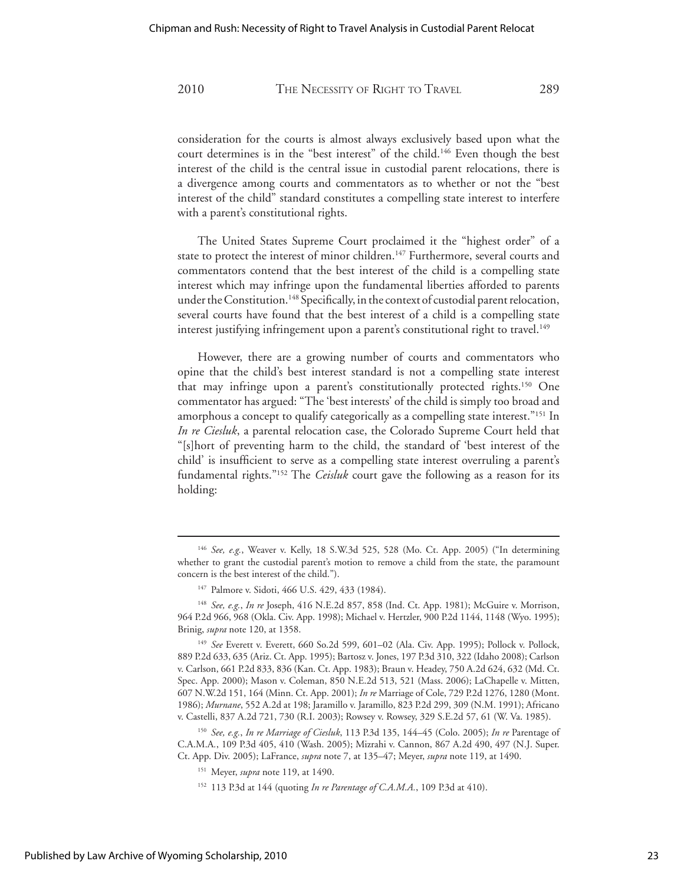consideration for the courts is almost always exclusively based upon what the court determines is in the "best interest" of the child.<sup>146</sup> Even though the best interest of the child is the central issue in custodial parent relocations, there is a divergence among courts and commentators as to whether or not the "best interest of the child" standard constitutes a compelling state interest to interfere with a parent's constitutional rights.

 The United States Supreme Court proclaimed it the "highest order" of a state to protect the interest of minor children.<sup>147</sup> Furthermore, several courts and commentators contend that the best interest of the child is a compelling state interest which may infringe upon the fundamental liberties afforded to parents under the Constitution.<sup>148</sup> Specifically, in the context of custodial parent relocation, several courts have found that the best interest of a child is a compelling state interest justifying infringement upon a parent's constitutional right to travel.<sup>149</sup>

 However, there are a growing number of courts and commentators who opine that the child's best interest standard is not a compelling state interest that may infringe upon a parent's constitutionally protected rights.150 One commentator has argued: "The 'best interests' of the child is simply too broad and amorphous a concept to qualify categorically as a compelling state interest."<sup>151</sup> In *In re Ciesluk*, a parental relocation case, the Colorado Supreme Court held that "[s]hort of preventing harm to the child, the standard of 'best interest of the child' is insufficient to serve as a compelling state interest overruling a parent's fundamental rights."152 The *Ceisluk* court gave the following as a reason for its holding:

<sup>146</sup> *See, e.g.*, Weaver v. Kelly, 18 S.W.3d 525, 528 (Mo. Ct. App. 2005) ("In determining whether to grant the custodial parent's motion to remove a child from the state, the paramount concern is the best interest of the child.").

<sup>147</sup> Palmore v. Sidoti, 466 U.S. 429, 433 (1984).

<sup>148</sup> *See, e.g.*, *In re* Joseph, 416 N.E.2d 857, 858 (Ind. Ct. App. 1981); McGuire v. Morrison, 964 P.2d 966, 968 (Okla. Civ. App. 1998); Michael v. Hertzler, 900 P.2d 1144, 1148 (Wyo. 1995); Brinig, *supra* note 120, at 1358.

<sup>149</sup> *See* Everett v. Everett, 660 So.2d 599, 601–02 (Ala. Civ. App. 1995); Pollock v. Pollock, 889 P.2d 633, 635 (Ariz. Ct. App. 1995); Bartosz v. Jones, 197 P.3d 310, 322 (Idaho 2008); Carlson v. Carlson, 661 P.2d 833, 836 (Kan. Ct. App. 1983); Braun v. Headey, 750 A.2d 624, 632 (Md. Ct. Spec. App. 2000); Mason v. Coleman, 850 N.E.2d 513, 521 (Mass. 2006); LaChapelle v. Mitten, 607 N.W.2d 151, 164 (Minn. Ct. App. 2001); *In re* Marriage of Cole, 729 P.2d 1276, 1280 (Mont. 1986); *Murnane*, 552 A.2d at 198; Jaramillo v. Jaramillo, 823 P.2d 299, 309 (N.M. 1991); Africano v. Castelli, 837 A.2d 721, 730 (R.I. 2003); Rowsey v. Rowsey, 329 S.E.2d 57, 61 (W. Va. 1985).

<sup>150</sup> *See, e.g.*, *In re Marriage of Ciesluk*, 113 P.3d 135, 144–45 (Colo. 2005); *In re* Parentage of C.A.M.A*.*, 109 P.3d 405, 410 (Wash. 2005); Mizrahi v. Cannon, 867 A.2d 490, 497 (N.J. Super. Ct. App. Div. 2005); LaFrance, *supra* note 7, at 135–47; Meyer, *supra* note 119, at 1490.

<sup>151</sup> Meyer, *supra* note 119, at 1490.

<sup>152 113</sup> P.3d at 144 (quoting *In re Parentage of C.A.M.A.*, 109 P.3d at 410).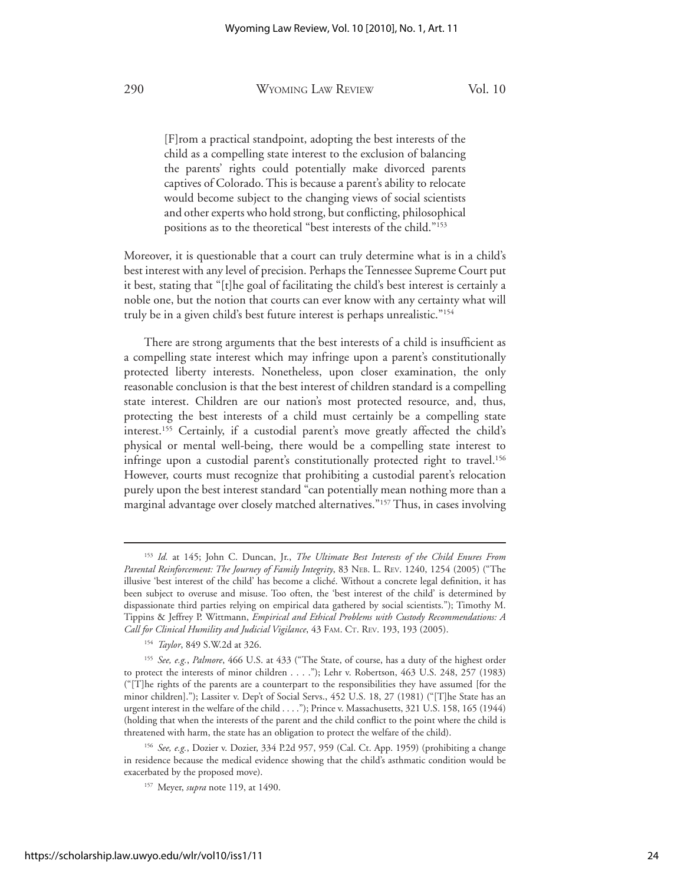[F]rom a practical standpoint, adopting the best interests of the child as a compelling state interest to the exclusion of balancing the parents' rights could potentially make divorced parents captives of Colorado. This is because a parent's ability to relocate would become subject to the changing views of social scientists and other experts who hold strong, but conflicting, philosophical positions as to the theoretical "best interests of the child."153

Moreover, it is questionable that a court can truly determine what is in a child's best interest with any level of precision. Perhaps the Tennessee Supreme Court put it best, stating that "[t]he goal of facilitating the child's best interest is certainly a noble one, but the notion that courts can ever know with any certainty what will truly be in a given child's best future interest is perhaps unrealistic."154

 There are strong arguments that the best interests of a child is insufficient as a compelling state interest which may infringe upon a parent's constitutionally protected liberty interests. Nonetheless, upon closer examination, the only reasonable conclusion is that the best interest of children standard is a compelling state interest. Children are our nation's most protected resource, and, thus, protecting the best interests of a child must certainly be a compelling state interest.155 Certainly, if a custodial parent's move greatly affected the child's physical or mental well-being, there would be a compelling state interest to infringe upon a custodial parent's constitutionally protected right to travel.<sup>156</sup> However, courts must recognize that prohibiting a custodial parent's relocation purely upon the best interest standard "can potentially mean nothing more than a marginal advantage over closely matched alternatives."157 Thus, in cases involving

<sup>153</sup> *Id.* at 145; John C. Duncan, Jr., *The Ultimate Best Interests of the Child Enures From Parental Reinforcement: The Journey of Family Integrity*, 83 NEB. L. REV. 1240, 1254 (2005) ("The illusive 'best interest of the child' has become a cliché. Without a concrete legal definition, it has been subject to overuse and misuse. Too often, the 'best interest of the child' is determined by dispassionate third parties relying on empirical data gathered by social scientists."); Timothy M. Tippins & Jeffrey P. Wittmann, *Empirical and Ethical Problems with Custody Recommendations: A Call for Clinical Humility and Judicial Vigilance*, 43 FAM. CT. REV. 193, 193 (2005).

<sup>154</sup> *Taylor*, 849 S.W.2d at 326.

<sup>155</sup> *See, e.g.*, *Palmore*, 466 U.S. at 433 ("The State, of course, has a duty of the highest order to protect the interests of minor children . . . ."); Lehr v. Robertson, 463 U.S. 248, 257 (1983) ("[T]he rights of the parents are a counterpart to the responsibilities they have assumed [for the minor children]."); Lassiter v. Dep't of Social Servs., 452 U.S. 18, 27 (1981) ("[T]he State has an urgent interest in the welfare of the child . . . ."); Prince v. Massachusetts, 321 U.S. 158, 165 (1944) (holding that when the interests of the parent and the child conflict to the point where the child is threatened with harm, the state has an obligation to protect the welfare of the child).

<sup>156</sup> *See, e.g.*, Dozier v. Dozier, 334 P.2d 957, 959 (Cal. Ct. App. 1959) (prohibiting a change in residence because the medical evidence showing that the child's asthmatic condition would be exacerbated by the proposed move).

<sup>157</sup> Meyer, *supra* note 119, at 1490.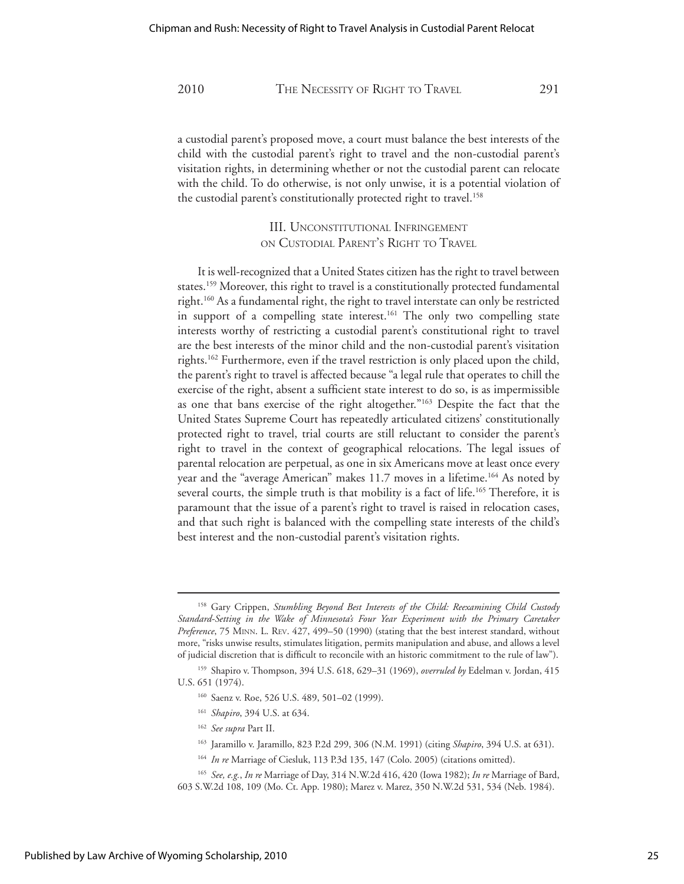a custodial parent's proposed move, a court must balance the best interests of the child with the custodial parent's right to travel and the non-custodial parent's visitation rights, in determining whether or not the custodial parent can relocate with the child. To do otherwise, is not only unwise, it is a potential violation of the custodial parent's constitutionally protected right to travel.<sup>158</sup>

> III. UNCONSTITUTIONAL INFRINGEMENT ON CUSTODIAL PARENT'S RIGHT TO TRAVEL

 It is well-recognized that a United States citizen has the right to travel between states.159 Moreover, this right to travel is a constitutionally protected fundamental right.160 As a fundamental right, the right to travel interstate can only be restricted in support of a compelling state interest.<sup>161</sup> The only two compelling state interests worthy of restricting a custodial parent's constitutional right to travel are the best interests of the minor child and the non-custodial parent's visitation rights.162 Furthermore, even if the travel restriction is only placed upon the child, the parent's right to travel is affected because "a legal rule that operates to chill the exercise of the right, absent a sufficient state interest to do so, is as impermissible as one that bans exercise of the right altogether."<sup>163</sup> Despite the fact that the United States Supreme Court has repeatedly articulated citizens' constitutionally protected right to travel, trial courts are still reluctant to consider the parent's right to travel in the context of geographical relocations. The legal issues of parental relocation are perpetual, as one in six Americans move at least once every year and the "average American" makes 11.7 moves in a lifetime.<sup>164</sup> As noted by several courts, the simple truth is that mobility is a fact of life.<sup>165</sup> Therefore, it is paramount that the issue of a parent's right to travel is raised in relocation cases, and that such right is balanced with the compelling state interests of the child's best interest and the non-custodial parent's visitation rights.

<sup>&</sup>lt;sup>158</sup> Gary Crippen, *Stumbling Beyond Best Interests of the Child: Reexamining Child Custody Standard-Setting in the Wake of Minnesota's Four Year Experiment with the Primary Caretaker Preference*, 75 MINN. L. REV. 427, 499–50 (1990) (stating that the best interest standard, without more, "risks unwise results, stimulates litigation, permits manipulation and abuse, and allows a level of judicial discretion that is difficult to reconcile with an historic commitment to the rule of law").

<sup>159</sup> Shapiro v. Thompson, 394 U.S. 618, 629–31 (1969), *overruled by* Edelman v. Jordan, 415 U.S. 651 (1974).

<sup>160</sup> Saenz v. Roe, 526 U.S. 489, 501–02 (1999).

<sup>161</sup> *Shapiro*, 394 U.S. at 634.

<sup>162</sup> *See supra* Part II.

<sup>163</sup> Jaramillo v. Jaramillo, 823 P.2d 299, 306 (N.M. 1991) (citing *Shapiro*, 394 U.S. at 631).

<sup>164</sup> *In re* Marriage of Ciesluk, 113 P.3d 135, 147 (Colo. 2005) (citations omitted).

<sup>165</sup> *See, e.g.*, *In re* Marriage of Day, 314 N.W.2d 416, 420 (Iowa 1982); *In re* Marriage of Bard, 603 S.W.2d 108, 109 (Mo. Ct. App. 1980); Marez v. Marez, 350 N.W.2d 531, 534 (Neb. 1984).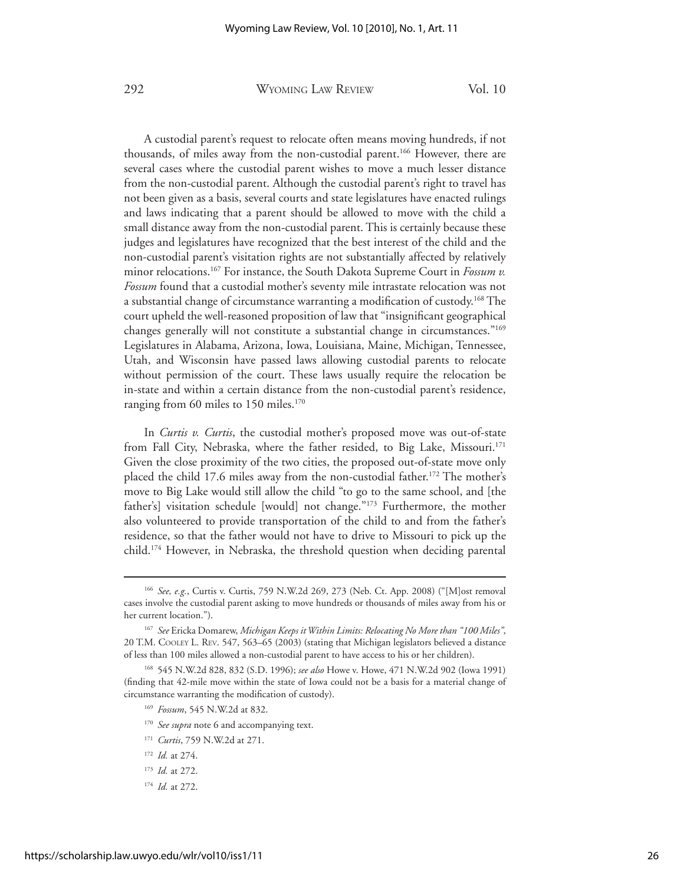A custodial parent's request to relocate often means moving hundreds, if not thousands, of miles away from the non-custodial parent.<sup>166</sup> However, there are several cases where the custodial parent wishes to move a much lesser distance from the non-custodial parent. Although the custodial parent's right to travel has not been given as a basis, several courts and state legislatures have enacted rulings and laws indicating that a parent should be allowed to move with the child a small distance away from the non-custodial parent. This is certainly because these judges and legislatures have recognized that the best interest of the child and the non-custodial parent's visitation rights are not substantially affected by relatively minor relocations.167 For instance, the South Dakota Supreme Court in *Fossum v. Fossum* found that a custodial mother's seventy mile intrastate relocation was not a substantial change of circumstance warranting a modification of custody.168 The court upheld the well-reasoned proposition of law that "insignificant geographical changes generally will not constitute a substantial change in circumstances."169 Legislatures in Alabama, Arizona, Iowa, Louisiana, Maine, Michigan, Tennessee, Utah, and Wisconsin have passed laws allowing custodial parents to relocate without permission of the court. These laws usually require the relocation be in-state and within a certain distance from the non-custodial parent's residence, ranging from 60 miles to 150 miles.<sup>170</sup>

 In *Curtis v. Curtis*, the custodial mother's proposed move was out-of-state from Fall City, Nebraska, where the father resided, to Big Lake, Missouri.<sup>171</sup> Given the close proximity of the two cities, the proposed out-of-state move only placed the child 17.6 miles away from the non-custodial father.<sup>172</sup> The mother's move to Big Lake would still allow the child "to go to the same school, and [the father's] visitation schedule [would] not change."173 Furthermore, the mother also volunteered to provide transportation of the child to and from the father's residence, so that the father would not have to drive to Missouri to pick up the child.174 However, in Nebraska, the threshold question when deciding parental

<sup>166</sup> *See, e.g.*, Curtis v. Curtis, 759 N.W.2d 269, 273 (Neb. Ct. App. 2008) ("[M]ost removal cases involve the custodial parent asking to move hundreds or thousands of miles away from his or her current location.").

<sup>167</sup> *See* Ericka Domarew, *Michigan Keeps it Within Limits: Relocating No More than "100 Miles"*, 20 T.M. COOLEY L. REV. 547, 563–65 (2003) (stating that Michigan legislators believed a distance of less than 100 miles allowed a non-custodial parent to have access to his or her children).

<sup>168 545</sup> N.W.2d 828, 832 (S.D. 1996); *see also* Howe v. Howe, 471 N.W.2d 902 (Iowa 1991) (finding that 42-mile move within the state of Iowa could not be a basis for a material change of circumstance warranting the modification of custody).

<sup>169</sup> *Fossum*, 545 N.W.2d at 832.

<sup>&</sup>lt;sup>170</sup> See supra note 6 and accompanying text.

<sup>171</sup> *Curtis*, 759 N.W.2d at 271.

<sup>172</sup> *Id.* at 274.

<sup>173</sup> *Id.* at 272.

<sup>174</sup> *Id.* at 272.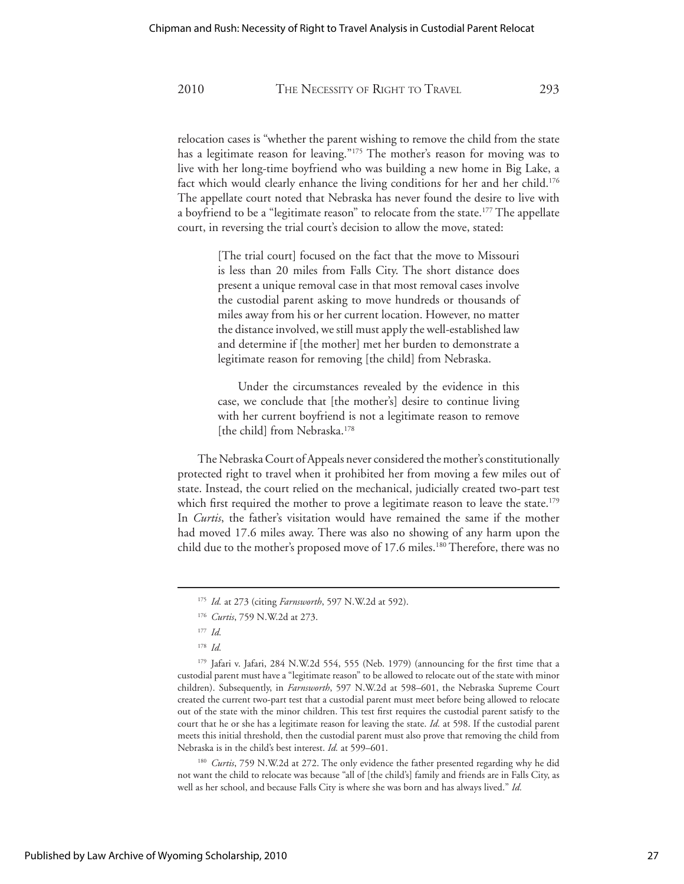relocation cases is "whether the parent wishing to remove the child from the state has a legitimate reason for leaving."175 The mother's reason for moving was to live with her long-time boyfriend who was building a new home in Big Lake, a fact which would clearly enhance the living conditions for her and her child.<sup>176</sup> The appellate court noted that Nebraska has never found the desire to live with a boyfriend to be a "legitimate reason" to relocate from the state.<sup>177</sup> The appellate court, in reversing the trial court's decision to allow the move, stated:

> [The trial court] focused on the fact that the move to Missouri is less than 20 miles from Falls City. The short distance does present a unique removal case in that most removal cases involve the custodial parent asking to move hundreds or thousands of miles away from his or her current location. However, no matter the distance involved, we still must apply the well-established law and determine if [the mother] met her burden to demonstrate a legitimate reason for removing [the child] from Nebraska.

> Under the circumstances revealed by the evidence in this case, we conclude that [the mother's] desire to continue living with her current boyfriend is not a legitimate reason to remove [the child] from Nebraska.<sup>178</sup>

 The Nebraska Court of Appeals never considered the mother's constitutionally protected right to travel when it prohibited her from moving a few miles out of state. Instead, the court relied on the mechanical, judicially created two-part test which first required the mother to prove a legitimate reason to leave the state.<sup>179</sup> In *Curtis*, the father's visitation would have remained the same if the mother had moved 17.6 miles away. There was also no showing of any harm upon the child due to the mother's proposed move of 17.6 miles.<sup>180</sup> Therefore, there was no

179 Jafari v. Jafari, 284 N.W.2d 554, 555 (Neb. 1979) (announcing for the first time that a custodial parent must have a "legitimate reason" to be allowed to relocate out of the state with minor children). Subsequently, in *Farnsworth*, 597 N.W.2d at 598–601, the Nebraska Supreme Court created the current two-part test that a custodial parent must meet before being allowed to relocate out of the state with the minor children. This test first requires the custodial parent satisfy to the court that he or she has a legitimate reason for leaving the state. *Id.* at 598. If the custodial parent meets this initial threshold, then the custodial parent must also prove that removing the child from Nebraska is in the child's best interest. *Id.* at 599–601.

<sup>180</sup> *Curtis*, 759 N.W.2d at 272. The only evidence the father presented regarding why he did not want the child to relocate was because "all of [the child's] family and friends are in Falls City, as well as her school, and because Falls City is where she was born and has always lived." *Id.*

<sup>175</sup> *Id.* at 273 (citing *Farnsworth*, 597 N.W.2d at 592).

<sup>176</sup> *Curtis*, 759 N.W.2d at 273.

<sup>177</sup> *Id.*

<sup>178</sup> *Id.*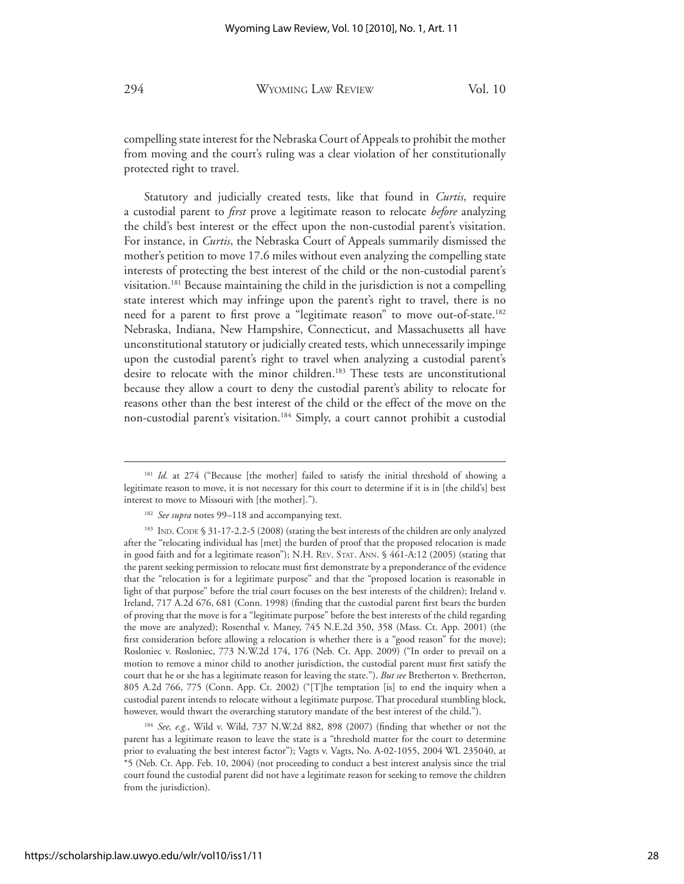compelling state interest for the Nebraska Court of Appeals to prohibit the mother from moving and the court's ruling was a clear violation of her constitutionally protected right to travel.

 Statutory and judicially created tests, like that found in *Curtis*, require a custodial parent to *first* prove a legitimate reason to relocate *before* analyzing the child's best interest or the effect upon the non-custodial parent's visitation. For instance, in *Curtis*, the Nebraska Court of Appeals summarily dismissed the mother's petition to move 17.6 miles without even analyzing the compelling state interests of protecting the best interest of the child or the non-custodial parent's visitation.181 Because maintaining the child in the jurisdiction is not a compelling state interest which may infringe upon the parent's right to travel, there is no need for a parent to first prove a "legitimate reason" to move out-of-state.<sup>182</sup> Nebraska, Indiana, New Hampshire, Connecticut, and Massachusetts all have unconstitutional statutory or judicially created tests, which unnecessarily impinge upon the custodial parent's right to travel when analyzing a custodial parent's desire to relocate with the minor children.<sup>183</sup> These tests are unconstitutional because they allow a court to deny the custodial parent's ability to relocate for reasons other than the best interest of the child or the effect of the move on the non-custodial parent's visitation.184 Simply, a court cannot prohibit a custodial

<sup>184</sup> *See, e.g.*, Wild v. Wild, 737 N.W.2d 882, 898 (2007) (finding that whether or not the parent has a legitimate reason to leave the state is a "threshold matter for the court to determine prior to evaluating the best interest factor"); Vagts v. Vagts, No. A-02-1055, 2004 WL 235040, at \*5 (Neb. Ct. App. Feb. 10, 2004) (not proceeding to conduct a best interest analysis since the trial court found the custodial parent did not have a legitimate reason for seeking to remove the children from the jurisdiction).

<sup>&</sup>lt;sup>181</sup> *Id.* at 274 ("Because [the mother] failed to satisfy the initial threshold of showing a legitimate reason to move, it is not necessary for this court to determine if it is in [the child's] best interest to move to Missouri with [the mother].").

<sup>&</sup>lt;sup>182</sup> See supra notes 99-118 and accompanying text.

<sup>183</sup> IND. CODE § 31-17-2.2-5 (2008) (stating the best interests of the children are only analyzed after the "relocating individual has [met] the burden of proof that the proposed relocation is made in good faith and for a legitimate reason"); N.H. REV. STAT. ANN. § 461-A:12 (2005) (stating that the parent seeking permission to relocate must first demonstrate by a preponderance of the evidence that the "relocation is for a legitimate purpose" and that the "proposed location is reasonable in light of that purpose" before the trial court focuses on the best interests of the children); Ireland v. Ireland, 717 A.2d 676, 681 (Conn. 1998) (finding that the custodial parent first bears the burden of proving that the move is for a "legitimate purpose" before the best interests of the child regarding the move are analyzed); Rosenthal v. Maney, 745 N.E.2d 350, 358 (Mass. Ct. App. 2001) (the first consideration before allowing a relocation is whether there is a "good reason" for the move); Rosloniec v. Rosloniec, 773 N.W.2d 174, 176 (Neb. Ct. App. 2009) ("In order to prevail on a motion to remove a minor child to another jurisdiction, the custodial parent must first satisfy the court that he or she has a legitimate reason for leaving the state."). *But see* Bretherton v. Bretherton, 805 A.2d 766, 775 (Conn. App. Ct. 2002) ("[T]he temptation [is] to end the inquiry when a custodial parent intends to relocate without a legitimate purpose. That procedural stumbling block, however, would thwart the overarching statutory mandate of the best interest of the child.").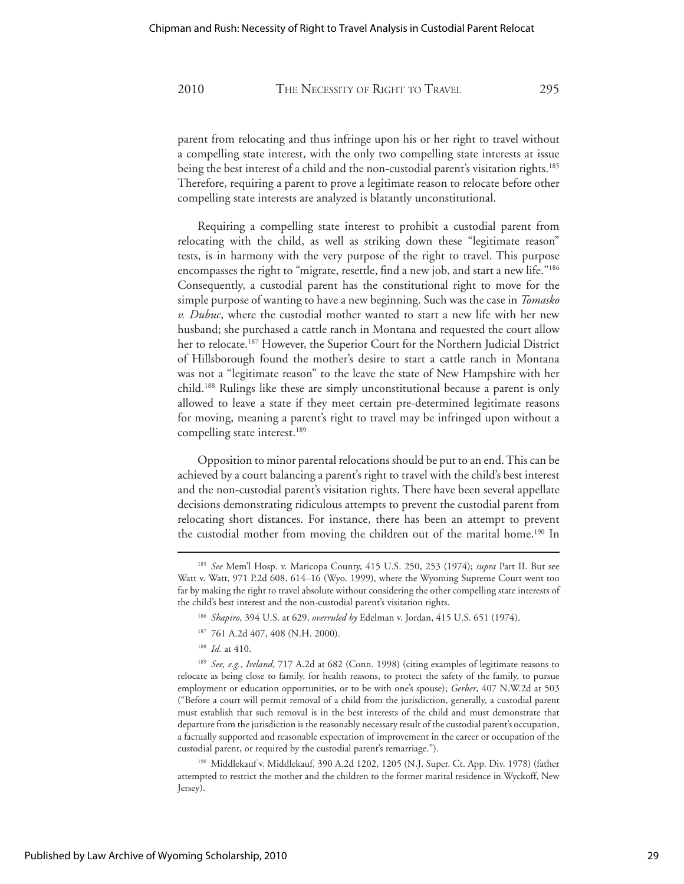parent from relocating and thus infringe upon his or her right to travel without a compelling state interest, with the only two compelling state interests at issue being the best interest of a child and the non-custodial parent's visitation rights.<sup>185</sup> Therefore, requiring a parent to prove a legitimate reason to relocate before other compelling state interests are analyzed is blatantly unconstitutional.

 Requiring a compelling state interest to prohibit a custodial parent from relocating with the child, as well as striking down these "legitimate reason" tests, is in harmony with the very purpose of the right to travel. This purpose encompasses the right to "migrate, resettle, find a new job, and start a new life."186 Consequently, a custodial parent has the constitutional right to move for the simple purpose of wanting to have a new beginning. Such was the case in *Tomasko v. Dubuc*, where the custodial mother wanted to start a new life with her new husband; she purchased a cattle ranch in Montana and requested the court allow her to relocate.<sup>187</sup> However, the Superior Court for the Northern Judicial District of Hillsborough found the mother's desire to start a cattle ranch in Montana was not a "legitimate reason" to the leave the state of New Hampshire with her child.188 Rulings like these are simply unconstitutional because a parent is only allowed to leave a state if they meet certain pre-determined legitimate reasons for moving, meaning a parent's right to travel may be infringed upon without a compelling state interest.<sup>189</sup>

 Opposition to minor parental relocations should be put to an end. This can be achieved by a court balancing a parent's right to travel with the child's best interest and the non-custodial parent's visitation rights. There have been several appellate decisions demonstrating ridiculous attempts to prevent the custodial parent from relocating short distances. For instance, there has been an attempt to prevent the custodial mother from moving the children out of the marital home.<sup>190</sup> In

- <sup>186</sup> *Shapiro*, 394 U.S. at 629, *overruled by* Edelman v. Jordan, 415 U.S. 651 (1974).
- 187 761 A.2d 407, 408 (N.H. 2000).
- <sup>188</sup> *Id.* at 410.

<sup>189</sup> *See, e.g.*, *Ireland*, 717 A.2d at 682 (Conn. 1998) (citing examples of legitimate reasons to relocate as being close to family, for health reasons, to protect the safety of the family, to pursue employment or education opportunities, or to be with one's spouse); *Gerber*, 407 N.W.2d at 503 ("Before a court will permit removal of a child from the jurisdiction, generally, a custodial parent must establish that such removal is in the best interests of the child and must demonstrate that departure from the jurisdiction is the reasonably necessary result of the custodial parent's occupation, a factually supported and reasonable expectation of improvement in the career or occupation of the custodial parent, or required by the custodial parent's remarriage.").

190 Middlekauf v. Middlekauf, 390 A.2d 1202, 1205 (N.J. Super. Ct. App. Div. 1978) (father attempted to restrict the mother and the children to the former marital residence in Wyckoff, New Jersey).

<sup>185</sup> *See* Mem'l Hosp. v. Maricopa County, 415 U.S. 250, 253 (1974); *supra* Part II. But see Watt v. Watt, 971 P.2d 608, 614–16 (Wyo. 1999), where the Wyoming Supreme Court went too far by making the right to travel absolute without considering the other compelling state interests of the child's best interest and the non-custodial parent's visitation rights.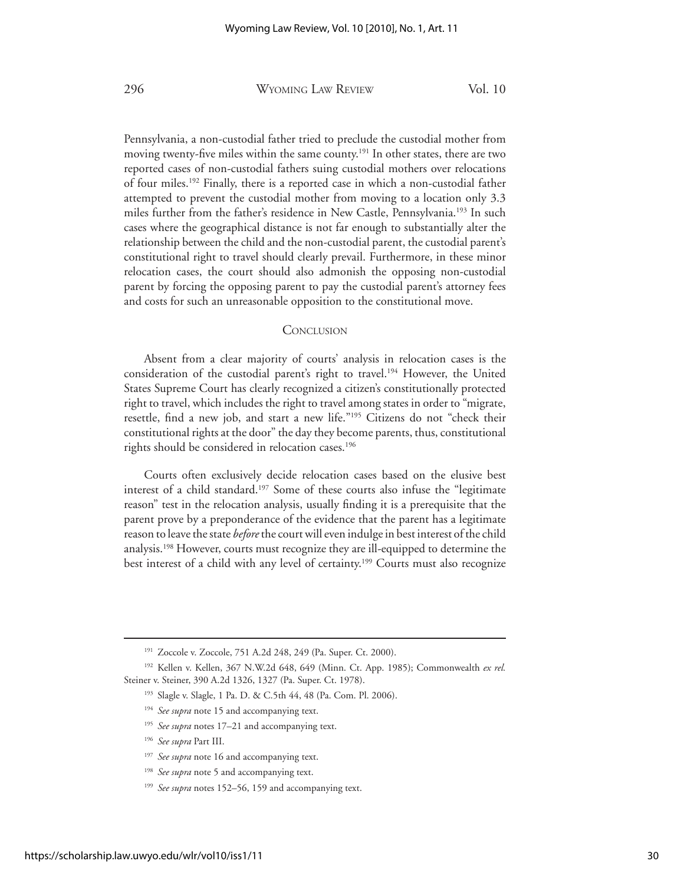Pennsylvania, a non-custodial father tried to preclude the custodial mother from moving twenty-five miles within the same county.<sup>191</sup> In other states, there are two reported cases of non-custodial fathers suing custodial mothers over relocations of four miles.192 Finally, there is a reported case in which a non-custodial father attempted to prevent the custodial mother from moving to a location only 3.3 miles further from the father's residence in New Castle, Pennsylvania.<sup>193</sup> In such cases where the geographical distance is not far enough to substantially alter the relationship between the child and the non-custodial parent, the custodial parent's constitutional right to travel should clearly prevail. Furthermore, in these minor relocation cases, the court should also admonish the opposing non-custodial parent by forcing the opposing parent to pay the custodial parent's attorney fees and costs for such an unreasonable opposition to the constitutional move.

#### **CONCLUSION**

Absent from a clear majority of courts' analysis in relocation cases is the consideration of the custodial parent's right to travel.194 However, the United States Supreme Court has clearly recognized a citizen's constitutionally protected right to travel, which includes the right to travel among states in order to "migrate, resettle, find a new job, and start a new life."195 Citizens do not "check their constitutional rights at the door" the day they become parents, thus, constitutional rights should be considered in relocation cases.<sup>196</sup>

 Courts often exclusively decide relocation cases based on the elusive best interest of a child standard.<sup>197</sup> Some of these courts also infuse the "legitimate reason" test in the relocation analysis, usually finding it is a prerequisite that the parent prove by a preponderance of the evidence that the parent has a legitimate reason to leave the state *before* the court will even indulge in best interest of the child analysis.198 However, courts must recognize they are ill-equipped to determine the best interest of a child with any level of certainty.199 Courts must also recognize

<sup>191</sup> Zoccole v. Zoccole, 751 A.2d 248, 249 (Pa. Super. Ct. 2000).

<sup>192</sup> Kellen v. Kellen, 367 N.W.2d 648, 649 (Minn. Ct. App. 1985); Commonwealth *ex rel.* Steiner v. Steiner, 390 A.2d 1326, 1327 (Pa. Super. Ct. 1978).

<sup>193</sup> Slagle v. Slagle, 1 Pa. D. & C.5th 44, 48 (Pa. Com. Pl. 2006).

<sup>&</sup>lt;sup>194</sup> See supra note 15 and accompanying text.

<sup>195</sup> *See supra* notes 17–21 and accompanying text.

<sup>196</sup> *See supra* Part III.

<sup>&</sup>lt;sup>197</sup> See supra note 16 and accompanying text.

<sup>198</sup> *See supra* note 5 and accompanying text.

<sup>&</sup>lt;sup>199</sup> See supra notes 152–56, 159 and accompanying text.